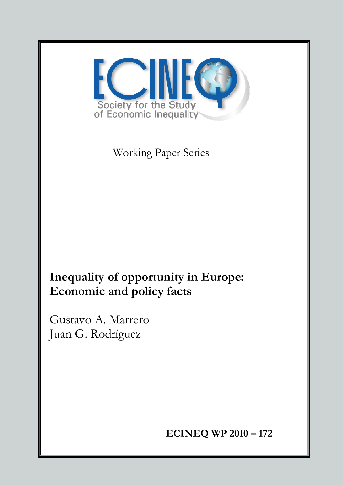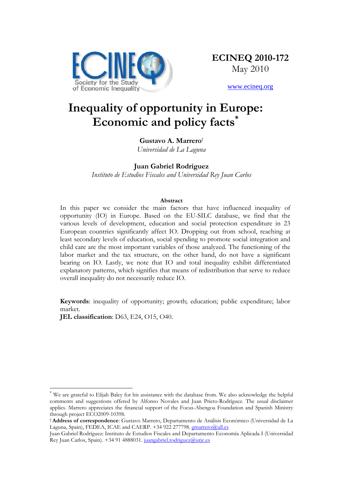

www.ecineq.org

# **Inequality of opportunity in Europe: Economic and policy facts\***

# **Gustavo A. Marrero**†

*Universidad de La Laguna* 

# **Juan Gabriel Rodríguez**

*Instituto de Estudios Fiscales and Universidad Rey Juan Carlos* 

## **Abstract**

In this paper we consider the main factors that have influenced inequality of opportunity (IO) in Europe. Based on the EU-SILC database, we find that the various levels of development, education and social protection expenditure in 23 European countries significantly affect IO. Dropping out from school, reaching at least secondary levels of education, social spending to promote social integration and child care are the most important variables of those analyzed. The functioning of the labor market and the tax structure, on the other hand, do not have a significant bearing on IO. Lastly, we note that IO and total inequality exhibit differentiated explanatory patterns, which signifies that means of redistribution that serve to reduce overall inequality do not necessarily reduce IO.

**Keywords**: inequality of opportunity; growth; education; public expenditure; labor market.

**JEL classification**: D63, E24, O15, O40.

 $\overline{a}$ 

We are grateful to Elijah Baley for his assistance with the database from. We also acknowledge the helpful comments and suggestions offered by Alfonso Novales and Juan Prieto-Rodríguez. The usual disclaimer applies. Marrero appreciates the financial support of the Focus-Abengoa Foundation and Spanish Ministry through project ECO2009-10398.

<sup>†</sup> **Address of correspondence**: Gustavo Marrero, Departamento de Análisis Económico (Universidad de La Laguna, Spain), FEDEA, ICAE and CAERP. +34 922 277798. gmarrero@ull.es

Juan Gabriel Rodríguez: Instituto de Estudios Fiscales and Departamento Economía Aplicada I (Universidad Rey Juan Carlos, Spain). +34 91 4888031. juangabriel.rodriguez@urjc.es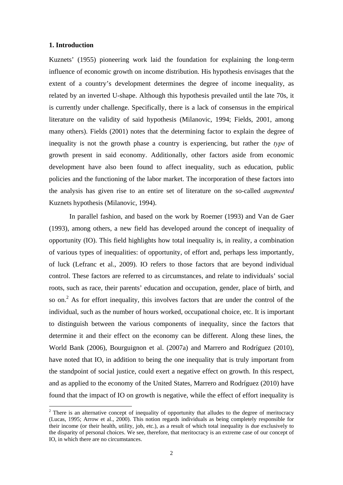## **1. Introduction**

Kuznets' (1955) pioneering work laid the foundation for explaining the long-term influence of economic growth on income distribution. His hypothesis envisages that the extent of a country's development determines the degree of income inequality, as related by an inverted U-shape. Although this hypothesis prevailed until the late 70s, it is currently under challenge. Specifically, there is a lack of consensus in the empirical literature on the validity of said hypothesis (Milanovic, 1994; Fields, 2001, among many others). Fields (2001) notes that the determining factor to explain the degree of inequality is not the growth phase a country is experiencing, but rather the *type* of growth present in said economy. Additionally, other factors aside from economic development have also been found to affect inequality, such as education, public policies and the functioning of the labor market. The incorporation of these factors into the analysis has given rise to an entire set of literature on the so-called *augmented* Kuznets hypothesis (Milanovic, 1994).

In parallel fashion, and based on the work by Roemer (1993) and Van de Gaer (1993), among others, a new field has developed around the concept of inequality of opportunity (IO). This field highlights how total inequality is, in reality, a combination of various types of inequalities: of opportunity, of effort and, perhaps less importantly, of luck (Lefranc et al., 2009). IO refers to those factors that are beyond individual control. These factors are referred to as circumstances, and relate to individuals' social roots, such as race, their parents' education and occupation, gender, place of birth, and so on.<sup>2</sup> As for effort inequality, this involves factors that are under the control of the individual, such as the number of hours worked, occupational choice, etc. It is important to distinguish between the various components of inequality, since the factors that determine it and their effect on the economy can be different. Along these lines, the World Bank (2006), Bourguignon et al. (2007a) and Marrero and Rodríguez (2010), have noted that IO, in addition to being the one inequality that is truly important from the standpoint of social justice, could exert a negative effect on growth. In this respect, and as applied to the economy of the United States, Marrero and Rodríguez (2010) have found that the impact of IO on growth is negative, while the effect of effort inequality is

 $2$  There is an alternative concept of inequality of opportunity that alludes to the degree of meritocracy (Lucas, 1995; Arrow et al., 2000). This notion regards individuals as being completely responsible for their income (or their health, utility, job, etc.), as a result of which total inequality is due exclusively to the disparity of personal choices. We see, therefore, that meritocracy is an extreme case of our concept of IO, in which there are no circumstances.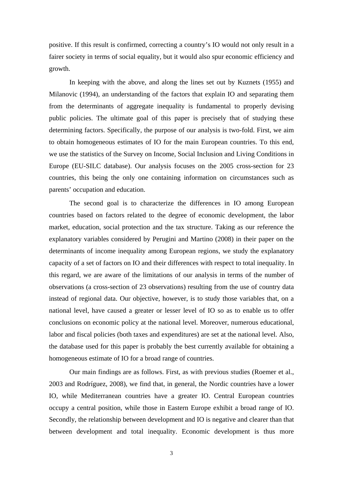positive. If this result is confirmed, correcting a country's IO would not only result in a fairer society in terms of social equality, but it would also spur economic efficiency and growth.

In keeping with the above, and along the lines set out by Kuznets (1955) and Milanovic (1994), an understanding of the factors that explain IO and separating them from the determinants of aggregate inequality is fundamental to properly devising public policies. The ultimate goal of this paper is precisely that of studying these determining factors. Specifically, the purpose of our analysis is two-fold. First, we aim to obtain homogeneous estimates of IO for the main European countries. To this end, we use the statistics of the Survey on Income, Social Inclusion and Living Conditions in Europe (EU-SILC database). Our analysis focuses on the 2005 cross-section for 23 countries, this being the only one containing information on circumstances such as parents' occupation and education.

The second goal is to characterize the differences in IO among European countries based on factors related to the degree of economic development, the labor market, education, social protection and the tax structure. Taking as our reference the explanatory variables considered by Perugini and Martino (2008) in their paper on the determinants of income inequality among European regions, we study the explanatory capacity of a set of factors on IO and their differences with respect to total inequality. In this regard, we are aware of the limitations of our analysis in terms of the number of observations (a cross-section of 23 observations) resulting from the use of country data instead of regional data. Our objective, however, is to study those variables that, on a national level, have caused a greater or lesser level of IO so as to enable us to offer conclusions on economic policy at the national level. Moreover, numerous educational, labor and fiscal policies (both taxes and expenditures) are set at the national level. Also, the database used for this paper is probably the best currently available for obtaining a homogeneous estimate of IO for a broad range of countries.

Our main findings are as follows. First, as with previous studies (Roemer et al., 2003 and Rodríguez, 2008), we find that, in general, the Nordic countries have a lower IO, while Mediterranean countries have a greater IO. Central European countries occupy a central position, while those in Eastern Europe exhibit a broad range of IO. Secondly, the relationship between development and IO is negative and clearer than that between development and total inequality. Economic development is thus more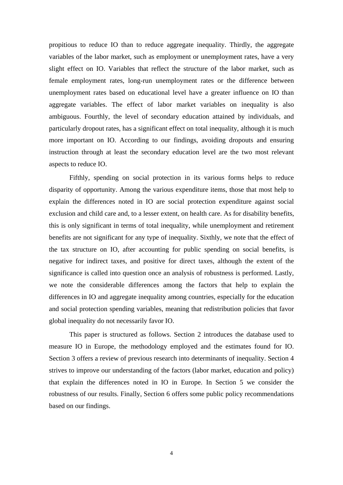propitious to reduce IO than to reduce aggregate inequality. Thirdly, the aggregate variables of the labor market, such as employment or unemployment rates, have a very slight effect on IO. Variables that reflect the structure of the labor market, such as female employment rates, long-run unemployment rates or the difference between unemployment rates based on educational level have a greater influence on IO than aggregate variables. The effect of labor market variables on inequality is also ambiguous. Fourthly, the level of secondary education attained by individuals, and particularly dropout rates, has a significant effect on total inequality, although it is much more important on IO. According to our findings, avoiding dropouts and ensuring instruction through at least the secondary education level are the two most relevant aspects to reduce IO.

Fifthly, spending on social protection in its various forms helps to reduce disparity of opportunity. Among the various expenditure items, those that most help to explain the differences noted in IO are social protection expenditure against social exclusion and child care and, to a lesser extent, on health care. As for disability benefits, this is only significant in terms of total inequality, while unemployment and retirement benefits are not significant for any type of inequality. Sixthly, we note that the effect of the tax structure on IO, after accounting for public spending on social benefits, is negative for indirect taxes, and positive for direct taxes, although the extent of the significance is called into question once an analysis of robustness is performed. Lastly, we note the considerable differences among the factors that help to explain the differences in IO and aggregate inequality among countries, especially for the education and social protection spending variables, meaning that redistribution policies that favor global inequality do not necessarily favor IO.

This paper is structured as follows. Section 2 introduces the database used to measure IO in Europe, the methodology employed and the estimates found for IO. Section 3 offers a review of previous research into determinants of inequality. Section 4 strives to improve our understanding of the factors (labor market, education and policy) that explain the differences noted in IO in Europe. In Section 5 we consider the robustness of our results. Finally, Section 6 offers some public policy recommendations based on our findings.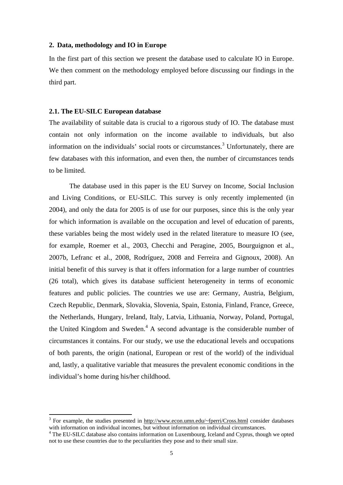#### **2. Data, methodology and IO in Europe**

In the first part of this section we present the database used to calculate IO in Europe. We then comment on the methodology employed before discussing our findings in the third part.

#### **2.1. The EU-SILC European database**

The availability of suitable data is crucial to a rigorous study of IO. The database must contain not only information on the income available to individuals, but also information on the individuals' social roots or circumstances.<sup>3</sup> Unfortunately, there are few databases with this information, and even then, the number of circumstances tends to be limited.

The database used in this paper is the EU Survey on Income, Social Inclusion and Living Conditions, or EU-SILC. This survey is only recently implemented (in 2004), and only the data for 2005 is of use for our purposes, since this is the only year for which information is available on the occupation and level of education of parents, these variables being the most widely used in the related literature to measure IO (see, for example, Roemer et al., 2003, Checchi and Peragine, 2005, Bourguignon et al., 2007b, Lefranc et al., 2008, Rodríguez, 2008 and Ferreira and Gignoux, 2008). An initial benefit of this survey is that it offers information for a large number of countries (26 total), which gives its database sufficient heterogeneity in terms of economic features and public policies. The countries we use are: Germany, Austria, Belgium, Czech Republic, Denmark, Slovakia, Slovenia, Spain, Estonia, Finland, France, Greece, the Netherlands, Hungary, Ireland, Italy, Latvia, Lithuania, Norway, Poland, Portugal, the United Kingdom and Sweden. $4$  A second advantage is the considerable number of circumstances it contains. For our study, we use the educational levels and occupations of both parents, the origin (national, European or rest of the world) of the individual and, lastly, a qualitative variable that measures the prevalent economic conditions in the individual's home during his/her childhood.

 $3$  For example, the studies presented in http://www.econ.umn.edu/~fperri/Cross.html consider databases with information on individual incomes, but without information on individual circumstances.

<sup>&</sup>lt;sup>4</sup> The EU-SILC database also contains information on Luxembourg, Iceland and Cyprus, though we opted not to use these countries due to the peculiarities they pose and to their small size.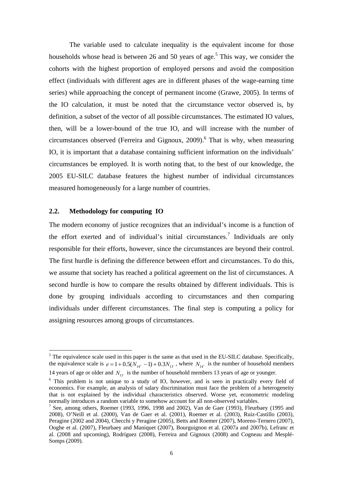The variable used to calculate inequality is the equivalent income for those households whose head is between 26 and 50 years of age.<sup>5</sup> This way, we consider the cohorts with the highest proportion of employed persons and avoid the composition effect (individuals with different ages are in different phases of the wage-earning time series) while approaching the concept of permanent income (Grawe, 2005). In terms of the IO calculation, it must be noted that the circumstance vector observed is, by definition, a subset of the vector of all possible circumstances. The estimated IO values, then, will be a lower-bound of the true IO, and will increase with the number of circumstances observed (Ferreira and Gignoux,  $2009$ ).<sup>6</sup> That is why, when measuring IO, it is important that a database containing sufficient information on the individuals' circumstances be employed. It is worth noting that, to the best of our knowledge, the 2005 EU-SILC database features the highest number of individual circumstances measured homogeneously for a large number of countries.

# **2.2. Methodology for computing IO**

The modern economy of justice recognizes that an individual's income is a function of the effort exerted and of individual's initial circumstances.<sup>7</sup> Individuals are only responsible for their efforts, however, since the circumstances are beyond their control. The first hurdle is defining the difference between effort and circumstances. To do this, we assume that society has reached a political agreement on the list of circumstances. A second hurdle is how to compare the results obtained by different individuals. This is done by grouping individuals according to circumstances and then comparing individuals under different circumstances. The final step is computing a policy for assigning resources among groups of circumstances.

<sup>&</sup>lt;sup>5</sup>The equivalence scale used in this paper is the same as that used in the EU-SILC database. Specifically, the equivalence scale is  $e = 1 + 0.5(N_{14^*} - 1) + 0.3N_{13^*}$ , where  $N_{14^*}$  is the number of household members 14 years of age or older and  $N_{13}$  is the number of household members 13 years of age or younger.

<sup>&</sup>lt;sup>6</sup> This problem is not unique to a study of IO, however, and is seen in practically every field of economics. For example, an analysis of salary discrimination must face the problem of a heterogeneity that is not explained by the individual characteristics observed. Worse yet, econometric modeling normally introduces a random variable to somehow account for all non-observed variables.

<sup>&</sup>lt;sup>7</sup> See, among others, Roemer (1993, 1996, 1998 and 2002), Van de Gaer (1993), Fleurbaey (1995 and 2008), O'Neill et al. (2000), Van de Gaer et al. (2001), Roemer et al. (2003), Ruiz-Castillo (2003), Peragine (2002 and 2004), Checchi y Peragine (2005), Betts and Roemer (2007), Moreno-Ternero (2007), Ooghe et al. (2007), Fleurbaey and Maniquet (2007), Bourguignon et al. (2007a and 2007b), Lefranc et al. (2008 and upcoming), Rodríguez (2008), Ferreira and Gignoux (2008) and Cogneau and Mesplé-Somps (2009).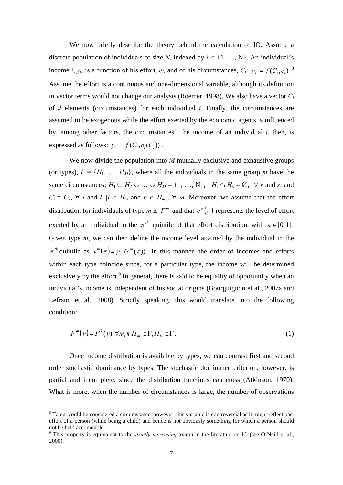We now briefly describe the theory behind the calculation of IO. Assume a discrete population of individuals of size *N*, indexed by  $i \in \{1, ..., N\}$ . An individual's income *i*,  $y_i$ , is a function of his effort,  $e_i$ , and of his circumstances,  $C_i$ :  $y_i = f(C_i, e_i)$ . Assume the effort is a continuous and one-dimensional variable, although its definition in vector terms would not change our analysis (Roemer, 1998). We also have a vector *Ci* of *J* elements (circumstances) for each individual *i*. Finally, the circumstances are assumed to be exogenous while the effort exerted by the economic agents is influenced by, among other factors, the circumstances. The income of an individual *i*, then, is expressed as follows:  $y_i = f(C_i, e_i(C_i))$ .

We now divide the population into *M* mutually exclusive and exhaustive groups (or types),  $\Gamma = \{H_1, ..., H_M\}$ , where all the individuals in the same group *m* have the same circumstances:  $H_1 \cup H_2 \cup ... \cup H_M = \{1, ..., N\}$ ,  $H_r \cap H_s = \emptyset$ ,  $\forall r$  and *s*, and  $C_i = C_k$ ,  $\forall i$  and  $k \mid i \in H_m$  and  $k \in H_m$ ,  $\forall m$ . Moreover, we assume that the effort distribution for individuals of type *m* is  $F^m$  and that  $e^m(\pi)$  represents the level of effort exerted by an individual in the  $\pi^{th}$  quintile of that effort distribution, with  $\pi \in [0,1]$ . Given type *m*, we can then define the income level attained by the individual in the  $\pi^{th}$  quintile as  $v^{m}(\pi) = v^{m}(e^{m}(\pi))$ . In this manner, the order of incomes and efforts within each type coincide since, for a particular type, the income will be determined exclusively by the effort.<sup>9</sup> In general, there is said to be equality of opportunity when an individual's income is independent of his social origins (Bourguignon et al., 2007a and Lefranc et al., 2008). Strictly speaking, this would translate into the following condition:

$$
F^{m}(y) = F^{k}(y), \forall m, k | H_{m} \in \Gamma, H_{k} \in \Gamma.
$$
\n<sup>(1)</sup>

Once income distribution is available by types, we can contrast first and second order stochastic dominance by types. The stochastic dominance criterion, however, is partial and incomplete, since the distribution functions can cross (Atkinson, 1970). What is more, when the number of circumstances is large, the number of observations

<sup>&</sup>lt;sup>8</sup> Talent could be considered a circumstance, however, this variable is controversial as it might reflect past effort of a person (while being a child) and hence is not obviously something for which a person should not be held accountable.

<sup>&</sup>lt;sup>9</sup> This property is equivalent to the *strictly increasing* axiom in the literature on IO (see O'Neill et al., 2000).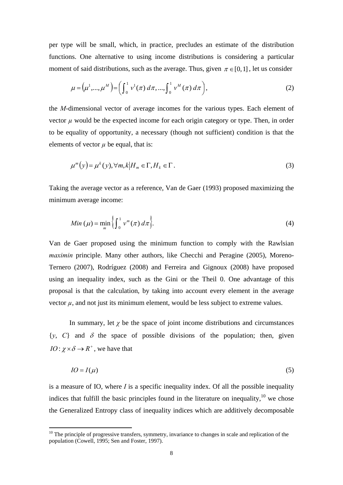per type will be small, which, in practice, precludes an estimate of the distribution functions. One alternative to using income distributions is considering a particular moment of said distributions, such as the average. Thus, given  $\pi \in [0,1]$ , let us consider

$$
\mu = (\mu^1, ..., \mu^M) = \left( \int_0^1 v^1(\pi) d\pi, ..., \int_0^1 v^M(\pi) d\pi \right),
$$
 (2)

the *M*-dimensional vector of average incomes for the various types. Each element of vector  $\mu$  would be the expected income for each origin category or type. Then, in order to be equality of opportunity, a necessary (though not sufficient) condition is that the elements of vector  $\mu$  be equal, that is:

$$
\mu^{m}(y) = \mu^{k}(y), \forall m, k | H_{m} \in \Gamma, H_{k} \in \Gamma.
$$
\n(3)

Taking the average vector as a reference, Van de Gaer (1993) proposed maximizing the minimum average income:

$$
Min(\mu) = \min_{m} \left\{ \int_0^1 v^m(\pi) d\pi \right\}.
$$
 (4)

Van de Gaer proposed using the minimum function to comply with the Rawlsian *maximin* principle. Many other authors, like Checchi and Peragine (2005), Moreno-Ternero (2007), Rodríguez (2008) and Ferreira and Gignoux (2008) have proposed using an inequality index, such as the Gini or the Theil 0. One advantage of this proposal is that the calculation, by taking into account every element in the average vector  $\mu$ , and not just its minimum element, would be less subject to extreme values.

In summary, let  $\chi$  be the space of joint income distributions and circumstances  $\{y, C\}$  and  $\delta$  the space of possible divisions of the population; then, given *IO* :  $\chi \times \delta \rightarrow R^+$ , we have that

$$
IO = I(\mu) \tag{5}
$$

is a measure of IO, where *I* is a specific inequality index. Of all the possible inequality indices that fulfill the basic principles found in the literature on inequality, $10$  we chose the Generalized Entropy class of inequality indices which are additively decomposable

<sup>&</sup>lt;sup>10</sup> The principle of progressive transfers, symmetry, invariance to changes in scale and replication of the population (Cowell, 1995; Sen and Foster, 1997).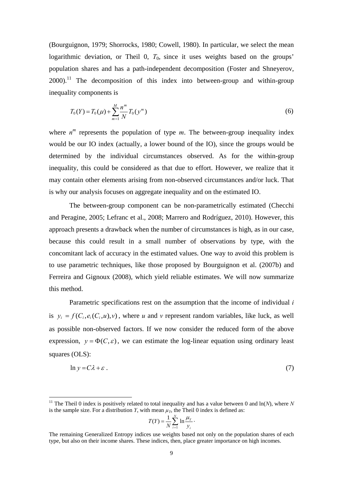(Bourguignon, 1979; Shorrocks, 1980; Cowell, 1980). In particular, we select the mean logarithmic deviation, or Theil 0,  $T_0$ , since it uses weights based on the groups' population shares and has a path-independent decomposition (Foster and Shneyerov,  $2000$ .<sup>11</sup> The decomposition of this index into between-group and within-group inequality components is

$$
T_0(Y) = T_0(\mu) + \sum_{m=1}^{M} \frac{n^m}{N} T_0(y^m)
$$
\n(6)

where  $n^m$  represents the population of type  $m$ . The between-group inequality index would be our IO index (actually, a lower bound of the IO), since the groups would be determined by the individual circumstances observed. As for the within-group inequality, this could be considered as that due to effort. However, we realize that it may contain other elements arising from non-observed circumstances and/or luck. That is why our analysis focuses on aggregate inequality and on the estimated IO.

The between-group component can be non-parametrically estimated (Checchi and Peragine, 2005; Lefranc et al., 2008; Marrero and Rodríguez, 2010). However, this approach presents a drawback when the number of circumstances is high, as in our case, because this could result in a small number of observations by type, with the concomitant lack of accuracy in the estimated values. One way to avoid this problem is to use parametric techniques, like those proposed by Bourguignon et al. (2007b) and Ferreira and Gignoux (2008), which yield reliable estimates. We will now summarize this method.

Parametric specifications rest on the assumption that the income of individual *i* is  $y_i = f(C_i, e_i(C_i, u), v)$ , where *u* and *v* represent random variables, like luck, as well as possible non-observed factors. If we now consider the reduced form of the above expression,  $y = \Phi(C, \varepsilon)$ , we can estimate the log-linear equation using ordinary least squares (OLS):

$$
\ln y = C\lambda + \varepsilon \tag{7}
$$

$$
T(Y) = \frac{1}{N} \sum_{i=1}^{N} \ln \frac{\mu_Y}{y_i}.
$$

<sup>&</sup>lt;sup>11</sup> The Theil 0 index is positively related to total inequality and has a value between 0 and  $ln(N)$ , where  $N$ is the sample size. For a distribution *Y*, with mean  $\mu_Y$ , the Theil 0 index is defined as:

The remaining Generalized Entropy indices use weights based not only on the population shares of each type, but also on their income shares. These indices, then, place greater importance on high incomes.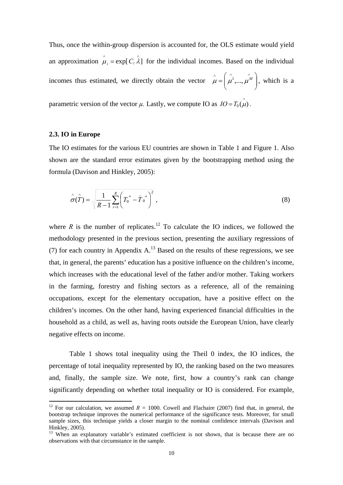Thus, once the within-group dispersion is accounted for, the OLS estimate would yield an approximation  $\hat{\mu}_i = \exp [ C_i \hat{\lambda} ]$  for the individual incomes. Based on the individual incomes thus estimated, we directly obtain the vector  $\mu = \left[\mu^1, ..., \mu^M\right]$  $\left(\stackrel{\wedge}{\mu^1},\scriptstyle\dots,\stackrel{\wedge}{\mu^M}\right)$  $\setminus$  $\hat{\mu} = (\hat{\mu}^1, ..., \hat{\mu}^M)$ , which is a parametric version of the vector  $\mu$ . Lastly, we compute IO as  $IO = T_0(\hat{\mu})$ .

#### **2.3. IO in Europe**

The IO estimates for the various EU countries are shown in Table 1 and Figure 1. Also shown are the standard error estimates given by the bootstrapping method using the formula (Davison and Hinkley, 2005):

$$
\hat{\sigma}(\hat{T}) = \sqrt{\frac{1}{R-1} \sum_{r=1}^{R} \left( T_0^* - \bar{T}_0^* \right)^2},
$$
\n(8)

where *R* is the number of replicates.<sup>12</sup> To calculate the IO indices, we followed the methodology presented in the previous section, presenting the auxiliary regressions of (7) for each country in Appendix  $A<sup>13</sup>$  Based on the results of these regressions, we see that, in general, the parents' education has a positive influence on the children's income, which increases with the educational level of the father and/or mother. Taking workers in the farming, forestry and fishing sectors as a reference, all of the remaining occupations, except for the elementary occupation, have a positive effect on the children's incomes. On the other hand, having experienced financial difficulties in the household as a child, as well as, having roots outside the European Union, have clearly negative effects on income.

Table 1 shows total inequality using the Theil 0 index, the IO indices, the percentage of total inequality represented by IO, the ranking based on the two measures and, finally, the sample size. We note, first, how a country's rank can change significantly depending on whether total inequality or IO is considered. For example,

<sup>&</sup>lt;sup>12</sup> For our calculation, we assumed  $R = 1000$ . Cowell and Flachaire (2007) find that, in general, the bootstrap technique improves the numerical performance of the significance tests. Moreover, for small sample sizes, this technique yields a closer margin to the nominal confidence intervals (Davison and Hinkley, 2005).

<sup>&</sup>lt;sup>13</sup> When an explanatory variable's estimated coefficient is not shown, that is because there are no observations with that circumstance in the sample.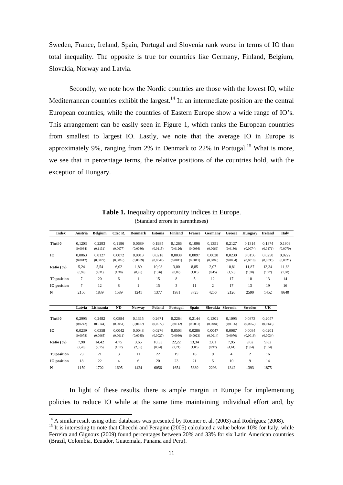Sweden, France, Ireland, Spain, Portugal and Slovenia rank worse in terms of IO than total inequality. The opposite is true for countries like Germany, Finland, Belgium, Slovakia, Norway and Latvia.

Secondly, we note how the Nordic countries are those with the lowest IO, while Mediterranean countries exhibit the largest.<sup>14</sup> In an intermediate position are the central European countries, while the countries of Eastern Europe show a wide range of IO's. This arrangement can be easily seen in Figure 1, which ranks the European countries from smallest to largest IO. Lastly, we note that the average IO in Europe is approximately 9%, ranging from 2% in Denmark to  $22\%$  in Portugal.<sup>15</sup> What is more, we see that in percentage terms, the relative positions of the countries hold, with the exception of Hungary.

| <b>Index</b>       | Austria            | <b>Belgium</b>      | Czec R.            | <b>Denmark</b>     | Estonia            | <b>Finland</b>     | <b>France</b>      | Germany            | Greece             | <b>Hungary</b>     | <b>Ireland</b>     | Italy              |
|--------------------|--------------------|---------------------|--------------------|--------------------|--------------------|--------------------|--------------------|--------------------|--------------------|--------------------|--------------------|--------------------|
| Theil 0            | 0.1203<br>(0,0064) | 0,2293<br>(0, 1131) | 0.1196<br>(0,0077) | 0.0689<br>(0,0086) | 0.1985<br>(0,0115) | 0.1266<br>(0,0126) | 0.1096<br>(0,0036) | 0.1351<br>(0,0069) | 0.2127<br>(0,0130) | 0.1314<br>(0,0074) | 0.1874<br>(0,0171) | 0,1909<br>(0,0070) |
| 10                 | 0.0063<br>(0,0012) | 0.0127<br>(0,0029)  | 0.0072<br>(0,0016) | 0.0013<br>(0,0009) | 0.0218<br>(0,0047) | 0.0038<br>(0,0011) | 0.0097<br>(0,0011) | 0.0028<br>(0,0006) | 0.0230<br>(0,0034) | 0.0156<br>(0,0018) | 0.0250<br>(0,0035) | 0,0222<br>(0,0021) |
| Ratio $(\% )$      | 5,24<br>(0,99)     | 5,54<br>(4, 31)     | 6,02<br>(1,30)     | 1,89<br>(0,96)     | 10,98<br>(1,96)    | 3,00<br>(0, 89)    | 8,85<br>(1,00)     | 2,07<br>(0, 45)    | 10,81<br>(1, 53)   | 11,87<br>(1,30)    | 13,34<br>(1,97)    | 11,63<br>(1,00)    |
| T0 position        | 7                  | 20                  | 6                  | 1                  | 15                 | 8                  | 5                  | 12                 | 17                 | 10                 | 13                 | 14                 |
| IO position        | 7                  | 12                  | 8                  | 1                  | 15                 | 3                  | 11                 | $\overline{2}$     | 17                 | 13                 | 19                 | 16                 |
| N                  | 2156               | 1839                | 1589               | 1241               | 1377               | 1981               | 3725               | 4256               | 2126               | 2590               | 1452               | 8640               |
|                    | Latvia             | Lithuania           | ND                 | <b>Norway</b>      | Poland             | Portugal           | <b>Spain</b>       | Slovakia Slovenia  |                    | Sweden             | UK                 |                    |
| Theil 0            | 0,2995<br>(0,0242) | 0,2482<br>(0,0144)  | 0,0884<br>(0,0051) | 0,1315<br>(0,0187) | 0,2671<br>(0,0072) | 0,2264<br>(0,0112) | 0,2144<br>(0,0081) | 0,1301<br>(0,0084) | 0,1095<br>(0,0156) | 0,0873<br>(0,0057) | 0,2047<br>(0,0148) |                    |
| 10                 | 0,0239<br>(0,0078) | 0.0358<br>(0,0065)  | 0.0042<br>(0,0011) | 0.0048<br>(0,0035) | 0.0276<br>(0,0027) | 0.0503<br>(0,0060) | 0,0286<br>(0,0023) | 0.0047<br>(0,0014) | 0.0087<br>(0,0070) | 0.0084<br>(0,0016) | 0,0201<br>(0,0034) |                    |
| Ratio $(\% )$      | 7,98<br>(2, 48)    | 14.42<br>(2,15)     | 4,75<br>(1,17)     | 3,65<br>(2,36)     | 10,33<br>(0, 94)   | 22,22<br>(2,21)    | 13,34<br>(1,06)    | 3,61<br>(0,97)     | 7,95<br>(4,61)     | 9,62<br>(1, 84)    | 9,82<br>(1,54)     |                    |
| T0 position        | 23                 | 21                  | 3                  | 11                 | 22                 | 19                 | 18                 | 9                  | 4                  | 2                  | 16                 |                    |
| <b>IO</b> position | 18                 | 22                  | $\overline{4}$     | 6                  | 20                 | 23                 | 21                 | 5                  | 10                 | 9                  | 14                 |                    |
| N                  | 1159               | 1702                | 1695               | 1424               | 6056               | 1654               | 5389               | 2293               | 1342               | 1393               | 1875               |                    |

**Table 1.** Inequality opportunity indices in Europe. (Standard errors in parentheses)

In light of these results, there is ample margin in Europe for implementing policies to reduce IO while at the same time maintaining individual effort and, by

 $14$  A similar result using other databases was presented by Roemer et al. (2003) and Rodríguez (2008).

<sup>&</sup>lt;sup>15</sup> It is interesting to note that Checchi and Peragine (2005) calculated a value below 10% for Italy, while Ferreira and Gignoux (2009) found percentages between 20% and 33% for six Latin American countries (Brazil, Colombia, Ecuador, Guatemala, Panama and Peru).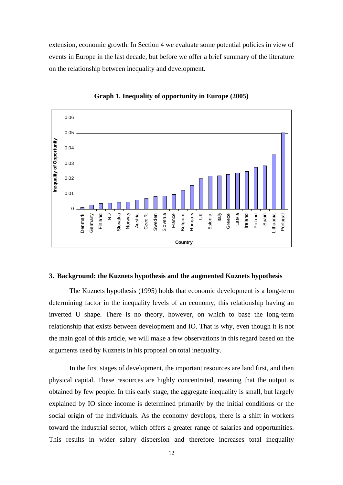extension, economic growth. In Section 4 we evaluate some potential policies in view of events in Europe in the last decade, but before we offer a brief summary of the literature on the relationship between inequality and development.



**Graph 1. Inequality of opportunity in Europe (2005)** 

#### **3. Background: the Kuznets hypothesis and the augmented Kuznets hypothesis**

The Kuznets hypothesis (1995) holds that economic development is a long-term determining factor in the inequality levels of an economy, this relationship having an inverted U shape. There is no theory, however, on which to base the long-term relationship that exists between development and IO. That is why, even though it is not the main goal of this article, we will make a few observations in this regard based on the arguments used by Kuznets in his proposal on total inequality.

In the first stages of development, the important resources are land first, and then physical capital. These resources are highly concentrated, meaning that the output is obtained by few people. In this early stage, the aggregate inequality is small, but largely explained by IO since income is determined primarily by the initial conditions or the social origin of the individuals. As the economy develops, there is a shift in workers toward the industrial sector, which offers a greater range of salaries and opportunities. This results in wider salary dispersion and therefore increases total inequality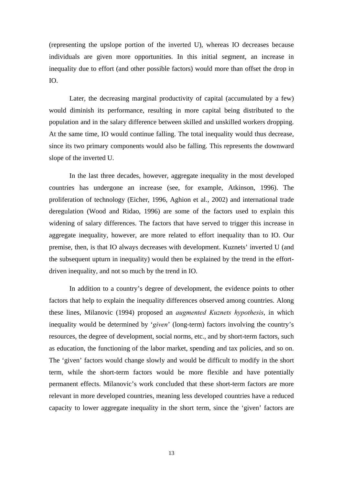(representing the upslope portion of the inverted U), whereas IO decreases because individuals are given more opportunities. In this initial segment, an increase in inequality due to effort (and other possible factors) would more than offset the drop in IO.

Later, the decreasing marginal productivity of capital (accumulated by a few) would diminish its performance, resulting in more capital being distributed to the population and in the salary difference between skilled and unskilled workers dropping. At the same time, IO would continue falling. The total inequality would thus decrease, since its two primary components would also be falling. This represents the downward slope of the inverted U.

In the last three decades, however, aggregate inequality in the most developed countries has undergone an increase (see, for example, Atkinson, 1996). The proliferation of technology (Eicher, 1996, Aghion et al., 2002) and international trade deregulation (Wood and Ridao, 1996) are some of the factors used to explain this widening of salary differences. The factors that have served to trigger this increase in aggregate inequality, however, are more related to effort inequality than to IO. Our premise, then, is that IO always decreases with development. Kuznets' inverted U (and the subsequent upturn in inequality) would then be explained by the trend in the effortdriven inequality, and not so much by the trend in IO.

In addition to a country's degree of development, the evidence points to other factors that help to explain the inequality differences observed among countries. Along these lines, Milanovic (1994) proposed an *augmented Kuznets hypothesis*, in which inequality would be determined by '*given*' (long-term) factors involving the country's resources, the degree of development, social norms, etc., and by short-term factors, such as education, the functioning of the labor market, spending and tax policies, and so on. The 'given' factors would change slowly and would be difficult to modify in the short term, while the short-term factors would be more flexible and have potentially permanent effects. Milanovic's work concluded that these short-term factors are more relevant in more developed countries, meaning less developed countries have a reduced capacity to lower aggregate inequality in the short term, since the 'given' factors are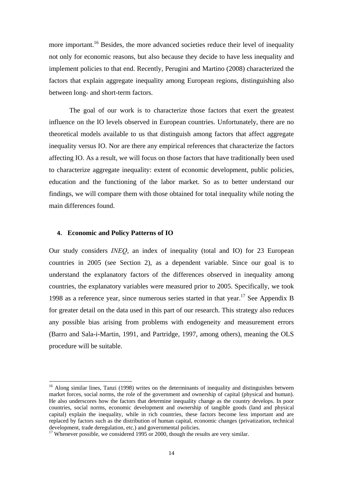more important.<sup>16</sup> Besides, the more advanced societies reduce their level of inequality not only for economic reasons, but also because they decide to have less inequality and implement policies to that end. Recently, Perugini and Martino (2008) characterized the factors that explain aggregate inequality among European regions, distinguishing also between long- and short-term factors.

The goal of our work is to characterize those factors that exert the greatest influence on the IO levels observed in European countries. Unfortunately, there are no theoretical models available to us that distinguish among factors that affect aggregate inequality versus IO. Nor are there any empirical references that characterize the factors affecting IO. As a result, we will focus on those factors that have traditionally been used to characterize aggregate inequality: extent of economic development, public policies, education and the functioning of the labor market. So as to better understand our findings, we will compare them with those obtained for total inequality while noting the main differences found.

#### **4. Economic and Policy Patterns of IO**

Our study considers *INEQ*, an index of inequality (total and IO) for 23 European countries in 2005 (see Section 2), as a dependent variable. Since our goal is to understand the explanatory factors of the differences observed in inequality among countries, the explanatory variables were measured prior to 2005. Specifically, we took 1998 as a reference year, since numerous series started in that year.<sup>17</sup> See Appendix B for greater detail on the data used in this part of our research. This strategy also reduces any possible bias arising from problems with endogeneity and measurement errors (Barro and Sala-i-Martin, 1991, and Partridge, 1997, among others), meaning the OLS procedure will be suitable.

<sup>&</sup>lt;sup>16</sup> Along similar lines, Tanzi (1998) writes on the determinants of inequality and distinguishes between market forces, social norms, the role of the government and ownership of capital (physical and human). He also underscores how the factors that determine inequality change as the country develops. In poor countries, social norms, economic development and ownership of tangible goods (land and physical capital) explain the inequality, while in rich countries, these factors become less important and are replaced by factors such as the distribution of human capital, economic changes (privatization, technical development, trade deregulation, etc.) and governmental policies.

 $17$  Whenever possible, we considered 1995 or 2000, though the results are very similar.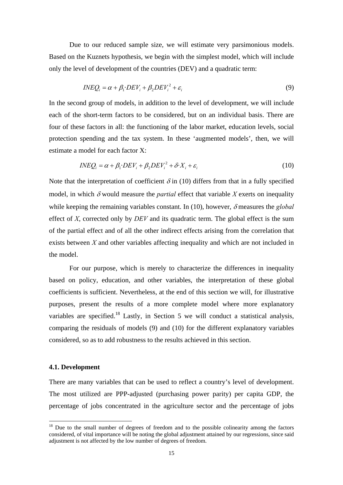Due to our reduced sample size, we will estimate very parsimonious models. Based on the Kuznets hypothesis, we begin with the simplest model, which will include only the level of development of the countries (DEV) and a quadratic term:

$$
INEQ_i = \alpha + \beta_1 \cdot DEV_i + \beta_2 DEV_i^2 + \varepsilon_i \tag{9}
$$

In the second group of models, in addition to the level of development, we will include each of the short-term factors to be considered, but on an individual basis. There are four of these factors in all: the functioning of the labor market, education levels, social protection spending and the tax system. In these 'augmented models', then, we will estimate a model for each factor X:

$$
INEQ_i = \alpha + \beta_1 \cdot DEV_i + \beta_2 DEV_i^2 + \delta \cdot X_i + \varepsilon_i
$$
\n<sup>(10)</sup>

Note that the interpretation of coefficient  $\delta$  in (10) differs from that in a fully specified model, in which  $\delta$  would measure the *partial* effect that variable *X* exerts on inequality while keeping the remaining variables constant. In (10), however,  $\delta$  measures the *global* effect of *X*, corrected only by *DEV* and its quadratic term. The global effect is the sum of the partial effect and of all the other indirect effects arising from the correlation that exists between *X* and other variables affecting inequality and which are not included in the model.

For our purpose, which is merely to characterize the differences in inequality based on policy, education, and other variables, the interpretation of these global coefficients is sufficient. Nevertheless, at the end of this section we will, for illustrative purposes, present the results of a more complete model where more explanatory variables are specified.<sup>18</sup> Lastly, in Section 5 we will conduct a statistical analysis, comparing the residuals of models (9) and (10) for the different explanatory variables considered, so as to add robustness to the results achieved in this section.

#### **4.1. Development**

There are many variables that can be used to reflect a country's level of development. The most utilized are PPP-adjusted (purchasing power parity) per capita GDP, the percentage of jobs concentrated in the agriculture sector and the percentage of jobs

<sup>&</sup>lt;sup>18</sup> Due to the small number of degrees of freedom and to the possible colinearity among the factors considered, of vital importance will be noting the global adjustment attained by our regressions, since said adjustment is not affected by the low number of degrees of freedom.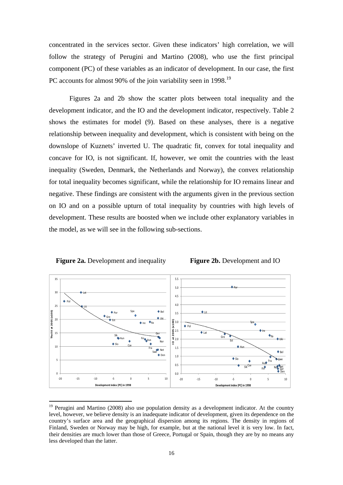concentrated in the services sector. Given these indicators' high correlation, we will follow the strategy of Perugini and Martino (2008), who use the first principal component (PC) of these variables as an indicator of development. In our case, the first PC accounts for almost 90% of the join variability seen in 1998.<sup>19</sup>

Figures 2a and 2b show the scatter plots between total inequality and the development indicator, and the IO and the development indicator, respectively. Table 2 shows the estimates for model (9). Based on these analyses, there is a negative relationship between inequality and development, which is consistent with being on the downslope of Kuznets' inverted U. The quadratic fit, convex for total inequality and concave for IO, is not significant. If, however, we omit the countries with the least inequality (Sweden, Denmark, the Netherlands and Norway), the convex relationship for total inequality becomes significant, while the relationship for IO remains linear and negative. These findings are consistent with the arguments given in the previous section on IO and on a possible upturn of total inequality by countries with high levels of development. These results are boosted when we include other explanatory variables in the model, as we will see in the following sub-sections.





<sup>&</sup>lt;sup>19</sup> Perugini and Martino (2008) also use population density as a development indicator. At the country level, however, we believe density is an inadequate indicator of development, given its dependence on the country's surface area and the geographical dispersion among its regions. The density in regions of Finland, Sweden or Norway may be high, for example, but at the national level it is very low. In fact, their densities are much lower than those of Greece, Portugal or Spain, though they are by no means any less developed than the latter.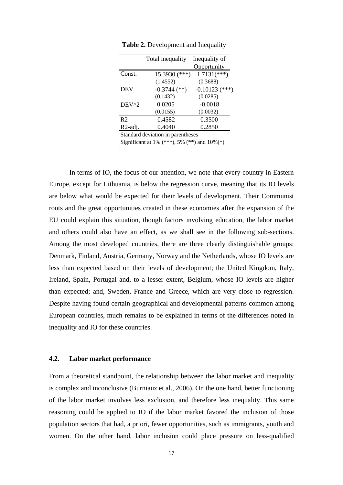|                      | Total inequality | Inequality of               |
|----------------------|------------------|-----------------------------|
|                      |                  | Opportunity                 |
| Const.               | $15.3930$ (***)  | $1.7131$ <sup>(***)</sup> ) |
|                      | (1.4552)         | (0.3688)                    |
| <b>DEV</b>           | $-0.3744$ (**)   | $-0.10123$ (***)            |
|                      | (0.1432)         | (0.0285)                    |
| DEV^2                | 0.0205           | $-0.0018$                   |
|                      | (0.0155)         | (0.0032)                    |
| R <sub>2</sub>       | 0.4582           | 0.3500                      |
| R <sub>2</sub> -adj. | 0.4040           | 0.2850                      |
| $\alpha$ , 1 1 1     |                  |                             |

 **Table 2.** Development and Inequality

Standard deviation in parentheses

Significant at 1% (\*\*\*), 5% (\*\*) and  $10\%$  (\*)

In terms of IO, the focus of our attention, we note that every country in Eastern Europe, except for Lithuania, is below the regression curve, meaning that its IO levels are below what would be expected for their levels of development. Their Communist roots and the great opportunities created in these economies after the expansion of the EU could explain this situation, though factors involving education, the labor market and others could also have an effect, as we shall see in the following sub-sections. Among the most developed countries, there are three clearly distinguishable groups: Denmark, Finland, Austria, Germany, Norway and the Netherlands, whose IO levels are less than expected based on their levels of development; the United Kingdom, Italy, Ireland, Spain, Portugal and, to a lesser extent, Belgium, whose IO levels are higher than expected; and, Sweden, France and Greece, which are very close to regression. Despite having found certain geographical and developmental patterns common among European countries, much remains to be explained in terms of the differences noted in inequality and IO for these countries.

# **4.2. Labor market performance**

From a theoretical standpoint, the relationship between the labor market and inequality is complex and inconclusive (Burniauz et al., 2006). On the one hand, better functioning of the labor market involves less exclusion, and therefore less inequality. This same reasoning could be applied to IO if the labor market favored the inclusion of those population sectors that had, a priori, fewer opportunities, such as immigrants, youth and women. On the other hand, labor inclusion could place pressure on less-qualified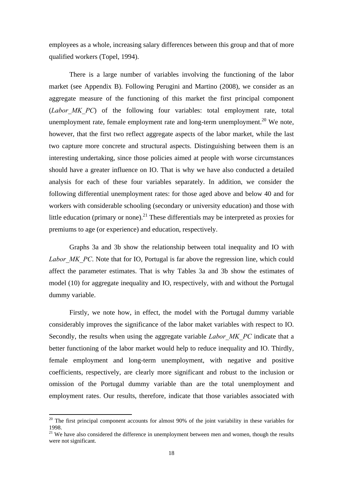employees as a whole, increasing salary differences between this group and that of more qualified workers (Topel, 1994).

There is a large number of variables involving the functioning of the labor market (see Appendix B). Following Perugini and Martino (2008), we consider as an aggregate measure of the functioning of this market the first principal component (*Labor\_MK\_PC*) of the following four variables: total employment rate, total unemployment rate, female employment rate and long-term unemployment.<sup>20</sup> We note, however, that the first two reflect aggregate aspects of the labor market, while the last two capture more concrete and structural aspects. Distinguishing between them is an interesting undertaking, since those policies aimed at people with worse circumstances should have a greater influence on IO. That is why we have also conducted a detailed analysis for each of these four variables separately. In addition, we consider the following differential unemployment rates: for those aged above and below 40 and for workers with considerable schooling (secondary or university education) and those with little education (primary or none).<sup>21</sup> These differentials may be interpreted as proxies for premiums to age (or experience) and education, respectively.

Graphs 3a and 3b show the relationship between total inequality and IO with *Labor MK PC*. Note that for IO, Portugal is far above the regression line, which could affect the parameter estimates. That is why Tables 3a and 3b show the estimates of model (10) for aggregate inequality and IO, respectively, with and without the Portugal dummy variable.

Firstly, we note how, in effect, the model with the Portugal dummy variable considerably improves the significance of the labor maket variables with respect to IO. Secondly, the results when using the aggregate variable *Labor MK PC* indicate that a better functioning of the labor market would help to reduce inequality and IO. Thirdly, female employment and long-term unemployment, with negative and positive coefficients, respectively, are clearly more significant and robust to the inclusion or omission of the Portugal dummy variable than are the total unemployment and employment rates. Our results, therefore, indicate that those variables associated with

 $20$  The first principal component accounts for almost 90% of the joint variability in these variables for 1998.

 $21$  We have also considered the difference in unemployment between men and women, though the results were not significant.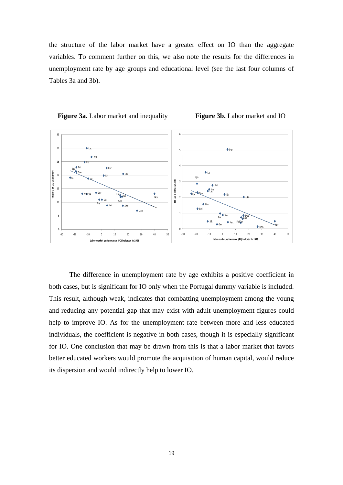the structure of the labor market have a greater effect on IO than the aggregate variables. To comment further on this, we also note the results for the differences in unemployment rate by age groups and educational level (see the last four columns of Tables 3a and 3b).



**Figure 3a.** Labor market and inequality **Figure 3b.** Labor market and IO



The difference in unemployment rate by age exhibits a positive coefficient in both cases, but is significant for IO only when the Portugal dummy variable is included. This result, although weak, indicates that combatting unemployment among the young and reducing any potential gap that may exist with adult unemployment figures could help to improve IO. As for the unemployment rate between more and less educated individuals, the coefficient is negative in both cases, though it is especially significant for IO. One conclusion that may be drawn from this is that a labor market that favors better educated workers would promote the acquisition of human capital, would reduce its dispersion and would indirectly help to lower IO.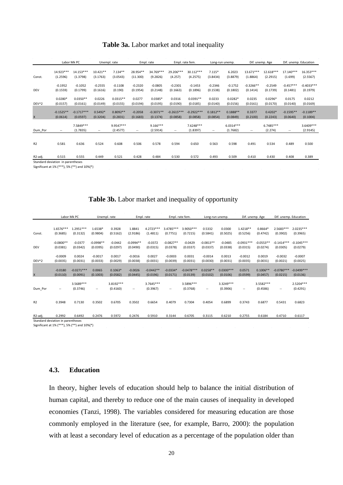**Table 3a.** Labor market and total inequality

|                |                                                                                  | Labor Mk PC  |            | Unempl. rate |           | Empl. rate  | Empl. rate fem. |              | Long-run unemp. |             | Dif. unemp. Age          |             | Dif. unemp. Education |              |
|----------------|----------------------------------------------------------------------------------|--------------|------------|--------------|-----------|-------------|-----------------|--------------|-----------------|-------------|--------------------------|-------------|-----------------------|--------------|
|                | 14.923 ***                                                                       | $14.153***$  | $10.421**$ | $7.134**$    | 28.954**  | 34.769***   | 29.206***       | 30.112***    | $7.115*$        | 6.2023      | 13.671***                | 12.618***   | 17.140***             | 16.353***    |
| Const.         | (1.2596)                                                                         | (1.3798)     | (3.1763)   | (3.0543)     | (11.300)  | (9.2826)    | (4.257)         | (4.2575)     | (3.8434)        | (3.8879)    | (1.8864)                 | (2.2915)    | (1.699)               | (2.5567)     |
|                | $-0.1952$                                                                        | $-0.1052$    | $-0.2555$  | $-0.1108$    | $-0.2320$ | $-0.0805$   | $-0.2301$       | $-0.1453$    | $-0.2346$       | $-0.1752$   | $-0.3266**$              | $-0.2549$   | $-0.457***$           | $-0.4033***$ |
| DEV            | (0.1559)                                                                         | (0.1799)     | (0.1616)   | (0.190)      | (0.1954)  | (0.2148)    | (0.1663)        | (0.1896)     | (0.1538)        | (0.1802)    | (0.1414)                 | (0.1739)    | (0.1481)              | (0.1979)     |
|                | $0.0280*$                                                                        | $0.0350**$   | 0.0226     | $0.0315**$   | 0.0277    | $0.0385*$   | 0.0316          | $0.0391**$   | 0.0233          | $0.0282*$   | 0.0235                   | $0.0296*$   | 0.0175                | 0.0212       |
| DEV^2          | (0.0157)                                                                         | (0.0161)     | (0.0149)   | (0.0155)     | (0.0194)  | (0.0195)    | (0.0190)        | (0.0185)     | (0.0140)        | (0.0156)    | (0.0161)                 | (0.0170)    | (0.0140)              | (0.0169)     |
|                | $-0.1525**$                                                                      | $-0.1717***$ | $0.5492*$  | $0.8092**$   | $-0.2058$ | $-0.3071**$ | $-0.2615***$    | $-0.2922***$ | $0.1812**$      | $0.1888**$  | 0.3377                   | $0.4202*$   | $-0.1595**$           | $-0.1189**$  |
| $\pmb{\times}$ | (0.0614)                                                                         | (0.0597)     | (0.3204)   | (0.2831)     | (0.1683)  | (0.1374)    | (0.0858)        | (0.0858)     | (0.0854)        | (0.0849)    | (0.2100)                 | (0.2243)    | (0.0640)              | (0.1004)     |
|                |                                                                                  | 7.5849 ***   |            | 9.9547***    |           | $9.166***$  |                 | 7.6248***    |                 | $6.0314***$ |                          | $6.7485***$ |                       | 3.6409 ***   |
| Dum_Por        | --                                                                               | (1.7835)     | $\sim$     | (2.4577)     | $- -$     | (2.5914)    | $\sim$          | (1.8397)     | ۰.              | (1.7682)    | $\overline{\phantom{a}}$ | (2.274)     | $\sim$                | (2.9145)     |
|                |                                                                                  |              |            |              |           |             |                 |              |                 |             |                          |             |                       |              |
| R <sub>2</sub> | 0.581                                                                            | 0.636        | 0.524      | 0.608        | 0.506     | 0.578       | 0.594           | 0.650        | 0.563           | 0.598       | 0.491                    | 0.534       | 0.489                 | 0.500        |
| R2-adj.        | 0.515                                                                            | 0.555        | 0.449      | 0.521        | 0.428     | 0.484       | 0.530           | 0.572        | 0.493           | 0.509       | 0.410                    | 0.430       | 0.408                 | 0.389        |
|                |                                                                                  |              |            |              |           |             |                 |              |                 |             |                          |             |                       |              |
|                | Standard deviation in parentheses<br>Significant at 1% (***), 5% (**) and 10%(*) |              |            |              |           |             |                 |              |                 |             |                          |             |                       |              |
|                |                                                                                  |              |            |              |           |             |                 |              |                 |             |                          |             |                       |              |

## **Table 3b.** Labor market and inequality of opportunity

|                   |                       | Labor Mk PC              |                    | Unempl. rate          |                          | Empl. rate              |                        | Empl. rate fem.          | Long-run unemp.        |                         | Dif. unemp. Age          |                        |                          | Dif. unemp. Education    |
|-------------------|-----------------------|--------------------------|--------------------|-----------------------|--------------------------|-------------------------|------------------------|--------------------------|------------------------|-------------------------|--------------------------|------------------------|--------------------------|--------------------------|
|                   | 1.6576***             | 1.2951 ***               | 1.6538*            | 0.3928                | 1.8841                   | 4.2723***               | 3.4785***              | 3.9050 ***               | 0.5332                 | 0.0300                  | $1.4218**$               | $0.8664*$              | 2.5683 ***               | 2.0235***                |
| Const.            | (0.3685)              | (0.3132)                 | (0.9804)           | (0.5162)              | (2.9186)                 | (1.4811)                | (0.7751)               | (0.7215)                 | (0.5841)               | (0.5025)                | (0.5256)                 | (0.4742)               | (0.3902)                 | (0.3965)                 |
|                   | $-0.0800**$           | $-0.0377$                | $-0.0998**$        | $-0.0442$             | $-0.0994**$              | $-0.0372$               | $-0.0827**$            | $-0.0429$                | $-0.0813**$            | $-0.0485$               | $-0.0931***$             | $-0.0553**$            | $-0.1414***$             | $-0.1045***$             |
| DEV               | (0.0381)              | (0.0342)                 | (0.0395)           | (0.0297)              | (0.0490)                 | (0.0315)                | (0.0378)               | (0.0337)                 | (0.0337)               | (0.0338)                | (0.0315)                 | (0.0274)               | (0.0305)                 | (0.0279)                 |
|                   | $-0.0009$             | 0.0024                   | $-0.0017$          | 0.0017                | $-0.0016$                | 0.0027                  | $-0.0003$              | 0.0031                   | $-0.0014$              | 0.0013                  | $-0.0012$                | 0.0019                 | $-0.0032$                | $-0.0007$                |
| DEV <sup>^2</sup> | (0.0035)              | (0.0031)                 | (0.0033)           | (0.0029)              | (0.0038)                 | (0.0031)                | (0.0039)               | (0.0031)                 | (0.0030)               | (0.0031)                | (0.0035)                 | (0.0031)               | (0.0021)                 | (0.0025)                 |
|                   |                       |                          |                    |                       |                          |                         |                        |                          |                        |                         |                          |                        |                          |                          |
| X                 | $-0.0180$<br>(0.0110) | $-0.0271***$<br>(0.0091) | 0.0065<br>(0.1003) | $0.1063*$<br>(0.0582) | $-0.0026$<br>(0.0445)    | $-0.0442**$<br>(0.0196) | $-0.0334*$<br>(0.0171) | $-0.0478***$<br>(0.0139) | $0.0258**$<br>(0.0102) | $0.0300***$<br>(0.0106) | 0.0571<br>(0.0599)       | $0.1006**$<br>(0.0457) | $-0.0780***$<br>(0.0215) | $-0.0499***$<br>(0.0136) |
|                   |                       |                          |                    |                       |                          |                         |                        |                          |                        |                         |                          |                        |                          |                          |
| Dum_Por           | ۰.                    | 3.5689***<br>(0.3746)    | $\sim$             | 3.8192***<br>(0.4160) | $\overline{\phantom{a}}$ | 3.7645***<br>(0.3967)   | $\sim$                 | 3.5896 ***<br>(0.3768)   | --                     | 3.3249***<br>(0.3906)   | $\overline{\phantom{a}}$ | 3.5582 ***<br>(0.4586) | $\overline{\phantom{a}}$ | 2.5204 ***<br>(0.4291)   |
| R <sub>2</sub>    | 0.3948                | 0.7130                   | 0.3502             | 0.6705                | 0.3502                   | 0.6654                  | 0.4079                 | 0.7304                   | 0.4054                 | 0.6899                  | 0.3743                   | 0.6877                 | 0.5431                   | 0.6823                   |
| R2-adj.           | 0.2992                | 0.6492                   | 0.2476             | 0.5972                | 0.2476                   | 0.5910                  | 0.3144                 | 0.6705                   | 0.3115                 | 0.6210                  | 0.2755                   | 0.6184                 | 0.4710                   | 0.6117                   |

#### **4.3. Education**

In theory, higher levels of education should help to balance the initial distribution of human capital, and thereby to reduce one of the main causes of inequality in developed economies (Tanzi, 1998). The variables considered for measuring education are those commonly employed in the literature (see, for example, Barro, 2000): the population with at least a secondary level of education as a percentage of the population older than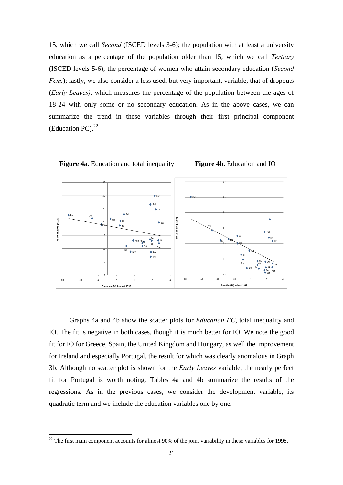15, which we call *Second* (ISCED levels 3-6); the population with at least a university education as a percentage of the population older than 15, which we call *Tertiary* (ISCED levels 5-6); the percentage of women who attain secondary education (*Second Fem.*); lastly, we also consider a less used, but very important, variable, that of dropouts (*Early Leaves)*, which measures the percentage of the population between the ages of 18-24 with only some or no secondary education. As in the above cases, we can summarize the trend in these variables through their first principal component (Education PC). $^{22}$ 



Graphs 4a and 4b show the scatter plots for *Education PC*, total inequality and IO. The fit is negative in both cases, though it is much better for IO. We note the good fit for IO for Greece, Spain, the United Kingdom and Hungary, as well the improvement for Ireland and especially Portugal, the result for which was clearly anomalous in Graph 3b. Although no scatter plot is shown for the *Early Leaves* variable, the nearly perfect fit for Portugal is worth noting. Tables 4a and 4b summarize the results of the regressions. As in the previous cases, we consider the development variable, its quadratic term and we include the education variables one by one.

 $22$  The first main component accounts for almost 90% of the joint variability in these variables for 1998.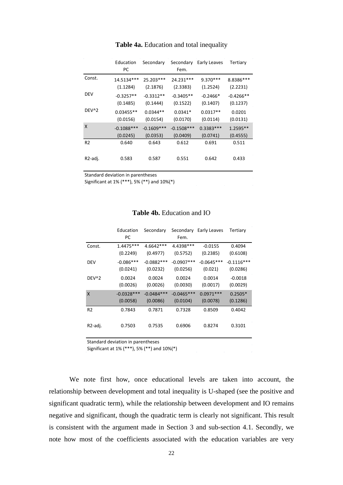|                   | Education<br>PC | Secondary    | Secondary<br>Fem. | Early Leaves | Tertiary    |
|-------------------|-----------------|--------------|-------------------|--------------|-------------|
| Const.            | 14.5134***      | $25.203***$  | 24.231***         | $9.370***$   | 8.8386***   |
|                   | (1.1284)        | (2.1876)     | (2.3383)          | (1.2524)     | (2.2231)    |
| <b>DEV</b>        | $-0.3257**$     | $-0.3312**$  | $-0.3405**$       | $-0.2466*$   | $-0.4266**$ |
|                   | (0.1485)        | (0.1444)     | (0.1522)          | (0.1407)     | (0.1237)    |
| DEV <sup>^2</sup> | $0.03455**$     | $0.0344**$   | $0.0341*$         | $0.0317**$   | 0.0201      |
|                   | (0.0156)        | (0.0154)     | (0.0170)          | (0.0114)     | (0.0131)    |
| X                 | $-0.1088$ ***   | $-0.1609***$ | $-0.1508$ ***     | $0.3383***$  | $1.2595**$  |
|                   | (0.0245)        | (0.0353)     | (0.0409)          | (0.0741)     | (0.4555)    |
| R <sub>2</sub>    | 0.640           | 0.643        | 0.612             | 0.691        | 0.511       |
| R2-adj.           | 0.583           | 0.587        | 0.551             | 0.642        | 0.433       |

**Table 4a.** Education and total inequality

Standard deviation in parentheses

Significant at 1% (\*\*\*), 5% (\*\*) and 10%(\*)

|                | Education<br>PC | Secondary    | Secondary<br>Fem. | Early Leaves | Tertiary     |
|----------------|-----------------|--------------|-------------------|--------------|--------------|
| Const.         | 1.4475***       | 4.6642***    | 4.4398***         | $-0.0155$    | 0.4094       |
|                | (0.2249)        | (0.4977)     | (0.5752)          | (0.2385)     | (0.6108)     |
| <b>DEV</b>     | $-0.086***$     | $-0.0882***$ | $-0.0907***$      | $-0.0645***$ | $-0.1116***$ |
|                | (0.0241)        | (0.0232)     | (0.0256)          | (0.021)      | (0.0286)     |
| DEV^2          | 0.0024          | 0.0024       | 0.0024            | 0.0014       | $-0.0018$    |
|                | (0.0026)        | (0.0026)     | (0.0030)          | (0.0017)     | (0.0029)     |
| $\mathsf{X}$   | $-0.0328***$    | $-0.0484***$ | $-0.0465***$      | $0.0971***$  | $0.2505*$    |
|                | (0.0058)        | (0.0086)     | (0.0104)          | (0.0078)     | (0.1286)     |
| R <sub>2</sub> | 0.7843          | 0.7871       | 0.7328            | 0.8509       | 0.4042       |
| R2-adj.        | 0.7503          | 0.7535       | 0.6906            | 0.8274       | 0.3101       |

**Table 4b.** Education and IO

Standard deviation in parentheses

Significant at 1% (\*\*\*), 5% (\*\*) and 10%(\*)

We note first how, once educational levels are taken into account, the relationship between development and total inequality is U-shaped (see the positive and significant quadratic term), while the relationship between development and IO remains negative and significant, though the quadratic term is clearly not significant. This result is consistent with the argument made in Section 3 and sub-section 4.1. Secondly, we note how most of the coefficients associated with the education variables are very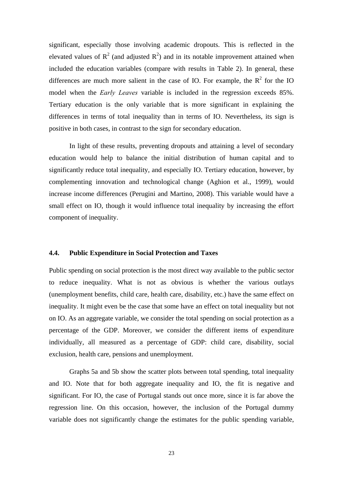significant, especially those involving academic dropouts. This is reflected in the elevated values of  $R^2$  (and adjusted  $R^2$ ) and in its notable improvement attained when included the education variables (compare with results in Table 2). In general, these differences are much more salient in the case of IO. For example, the  $R^2$  for the IO model when the *Early Leaves* variable is included in the regression exceeds 85%. Tertiary education is the only variable that is more significant in explaining the differences in terms of total inequality than in terms of IO. Nevertheless, its sign is positive in both cases, in contrast to the sign for secondary education.

In light of these results, preventing dropouts and attaining a level of secondary education would help to balance the initial distribution of human capital and to significantly reduce total inequality, and especially IO. Tertiary education, however, by complementing innovation and technological change (Aghion et al., 1999), would increase income differences (Perugini and Martino, 2008). This variable would have a small effect on IO, though it would influence total inequality by increasing the effort component of inequality.

#### **4.4. Public Expenditure in Social Protection and Taxes**

Public spending on social protection is the most direct way available to the public sector to reduce inequality. What is not as obvious is whether the various outlays (unemployment benefits, child care, health care, disability, etc.) have the same effect on inequality. It might even be the case that some have an effect on total inequality but not on IO. As an aggregate variable, we consider the total spending on social protection as a percentage of the GDP. Moreover, we consider the different items of expenditure individually, all measured as a percentage of GDP: child care, disability, social exclusion, health care, pensions and unemployment.

Graphs 5a and 5b show the scatter plots between total spending, total inequality and IO. Note that for both aggregate inequality and IO, the fit is negative and significant. For IO, the case of Portugal stands out once more, since it is far above the regression line. On this occasion, however, the inclusion of the Portugal dummy variable does not significantly change the estimates for the public spending variable,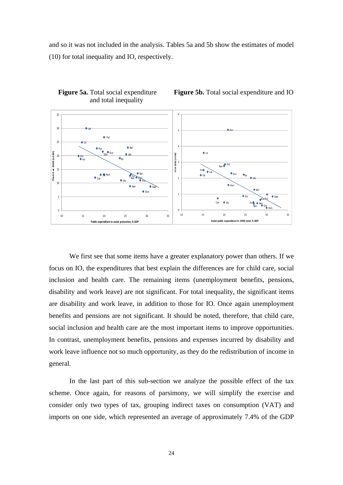and so it was not included in the analysis. Tables 5a and 5b show the estimates of model (10) for total inequality and IO, respectively.



and total inequality

**Figure 5a.** Total social expenditure **Figure 5b.** Total social expenditure and IO

We first see that some items have a greater explanatory power than others. If we focus on IO, the expenditures that best explain the differences are for child care, social inclusion and health care. The remaining items (unemployment benefits, pensions, disability and work leave) are not significant. For total inequality, the significant items are disability and work leave, in addition to those for IO. Once again unemployment benefits and pensions are not significant. It should be noted, therefore, that child care, social inclusion and health care are the most important items to improve opportunities. In contrast, unemployment benefits, pensions and expenses incurred by disability and work leave influence not so much opportunity, as they do the redistribution of income in general.

In the last part of this sub-section we analyze the possible effect of the tax scheme. Once again, for reasons of parsimony, we will simplify the exercise and consider only two types of tax, grouping indirect taxes on consumption (VAT) and imports on one side, which represented an average of approximately 7.4% of the GDP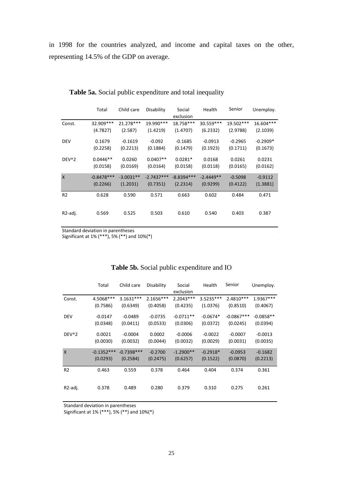in 1998 for the countries analyzed, and income and capital taxes on the other, representing 14.5% of the GDP on average.

|                      | Total        | Child care  | Disability   | Social<br>exclusion | Health      | Senior     | Unemploy.  |
|----------------------|--------------|-------------|--------------|---------------------|-------------|------------|------------|
| Const.               | 32.909 ***   | 21.278***   | 19.990***    | 18.758***           | 30.559***   | 19.502 *** | 16.604***  |
|                      | (4.7827)     | (2.587)     | (1.4219)     | (1.4707)            | (6.2332)    | (2.9788)   | (2.1039)   |
| <b>DEV</b>           | 0.1679       | $-0.1619$   | $-0.092$     | $-0.1685$           | $-0.0913$   | $-0.2965$  | $-0.2909*$ |
|                      | (0.2258)     | (0.2213)    | (0.1884)     | (0.1479)            | (0.1923)    | (0.1711)   | (0.1673)   |
| DEV <sup>^2</sup>    | $0.0446**$   | 0.0260      | $0.0407**$   | $0.0281*$           | 0.0168      | 0.0261     | 0.0231     |
|                      | (0.0158)     | (0.0169)    | (0.0164)     | (0.0158)            | (0.0118)    | (0.0165)   | (0.0162)   |
| $\mathsf{x}$         | $-0.8478***$ | $-3.0031**$ | $-2.7437***$ | $-8.8394***$        | $-2.4449**$ | $-0.5098$  | $-0.9112$  |
|                      | (0.2266)     | (1.2031)    | (0.7351)     | (2.2314)            | (0.9299)    | (0.4122)   | (1.3881)   |
| R <sub>2</sub>       | 0.628        | 0.590       | 0.571        | 0.663               | 0.602       | 0.484      | 0.471      |
| R <sub>2</sub> -adj. | 0.569        | 0.525       | 0.503        | 0.610               | 0.540       | 0.403      | 0.387      |

**Table 5a.** Social public expenditure and total inequality

Standard deviation in parentheses

Significant at 1% (\*\*\*), 5% (\*\*) and 10%(\*)

|                   | Total        | Child care   | Disability | Social<br>exclusion | Health      | Senior       | Unemploy.   |
|-------------------|--------------|--------------|------------|---------------------|-------------|--------------|-------------|
| Const.            | 4.5068***    | $3.1631***$  | 2.1656***  | $2.2043***$         | $3.5235***$ | $2.4810***$  | 1.9367***   |
|                   | (0.7586)     | (0.6349)     | (0.4058)   | (0.4235)            | (1.0376)    | (0.8510)     | (0.4067)    |
| <b>DEV</b>        | $-0.0147$    | $-0.0489$    | $-0.0735$  | $-0.0711**$         | $-0.0674*$  | $-0.0867***$ | $-0.0858**$ |
|                   | (0.0348)     | (0.0411)     | (0.0533)   | (0.0306)            | (0.0372)    | (0.0245)     | (0.0394)    |
| DEV <sup>^2</sup> | 0.0021       | $-0.0004$    | 0.0002     | $-0.0006$           | $-0.0022$   | $-0.0007$    | $-0.0013$   |
|                   | (0.0030)     | (0.0032)     | (0.0044)   | (0.0032)            | (0.0029)    | (0.0031)     | (0.0035)    |
| $\mathsf{x}$      | $-0.1352***$ | $-0.7398***$ | $-0.2700$  | $-1.2900**$         | $-0.2918*$  | $-0.0953$    | $-0.1682$   |
|                   | (0.0293)     | (0.2584)     | (0.2475)   | (0.6257)            | (0.1522)    | (0.0870)     | (0.2213)    |
| R <sub>2</sub>    | 0.463        | 0.559        | 0.378      | 0.464               | 0.404       | 0.374        | 0.361       |
| R2-adj.           | 0.378        | 0.489        | 0.280      | 0.379               | 0.310       | 0.275        | 0.261       |

# **Table 5b.** Social public expenditure and IO

Standard deviation in parentheses

Significant at 1% (\*\*\*), 5% (\*\*) and 10%(\*)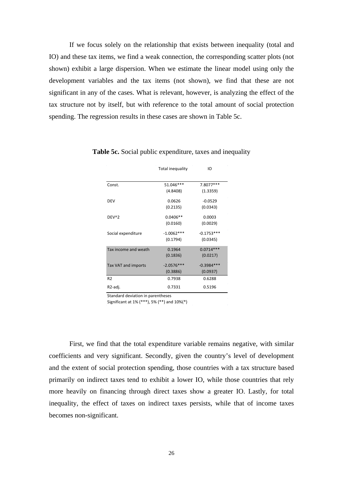If we focus solely on the relationship that exists between inequality (total and IO) and these tax items, we find a weak connection, the corresponding scatter plots (not shown) exhibit a large dispersion. When we estimate the linear model using only the development variables and the tax items (not shown), we find that these are not significant in any of the cases. What is relevant, however, is analyzing the effect of the tax structure not by itself, but with reference to the total amount of social protection spending. The regression results in these cases are shown in Table 5c.

|                      | Total inequality | IO           |
|----------------------|------------------|--------------|
| Const.               | 51.046***        | 7.8077***    |
|                      | (4.8408)         | (1.3359)     |
| DEV                  | 0.0626           | $-0.0529$    |
|                      | (0.2135)         | (0.0343)     |
| DEV^2                | $0.0406**$       | 0.0003       |
|                      | (0.0160)         | (0.0029)     |
| Social expenditure   | $-1.0062***$     | $-0.1753***$ |
|                      | (0.1794)         | (0.0345)     |
| Tax income and weath | 0.1964           | $0.0714***$  |
|                      | (0.1836)         | (0.0217)     |
| Tax VAT and imports  | $-2.0576***$     | $-0.3984***$ |
|                      | (0.3886)         | (0.0937)     |
| R <sub>2</sub>       | 0.7938           | 0.6288       |
| R2-adj.              | 0.7331           | 0.5196       |

**Table 5c.** Social public expenditure, taxes and inequality

Standard deviation in parentheses

Significant at 1% (\*\*\*), 5% (\*\*) and 10%(\*)

First, we find that the total expenditure variable remains negative, with similar coefficients and very significant. Secondly, given the country's level of development and the extent of social protection spending, those countries with a tax structure based primarily on indirect taxes tend to exhibit a lower IO, while those countries that rely more heavily on financing through direct taxes show a greater IO. Lastly, for total inequality, the effect of taxes on indirect taxes persists, while that of income taxes becomes non-significant.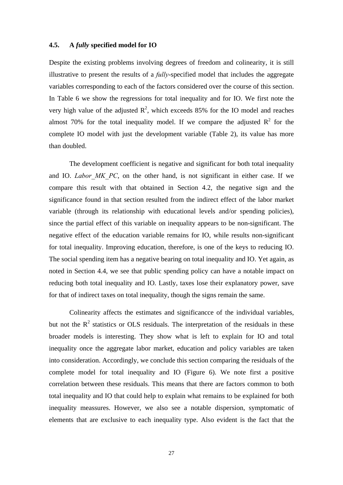# **4.5. A** *fully* **specified model for IO**

Despite the existing problems involving degrees of freedom and colinearity, it is still illustrative to present the results of a *fully*-specified model that includes the aggregate variables corresponding to each of the factors considered over the course of this section. In Table 6 we show the regressions for total inequality and for IO. We first note the very high value of the adjusted  $\mathbb{R}^2$ , which exceeds 85% for the IO model and reaches almost 70% for the total inequality model. If we compare the adjusted  $\mathbb{R}^2$  for the complete IO model with just the development variable (Table 2), its value has more than doubled.

The development coefficient is negative and significant for both total inequality and IO. *Labor MK PC*, on the other hand, is not significant in either case. If we compare this result with that obtained in Section 4.2, the negative sign and the significance found in that section resulted from the indirect effect of the labor market variable (through its relationship with educational levels and/or spending policies), since the partial effect of this variable on inequality appears to be non-significant. The negative effect of the education variable remains for IO, while results non-significant for total inequality. Improving education, therefore, is one of the keys to reducing IO. The social spending item has a negative bearing on total inequality and IO. Yet again, as noted in Section 4.4, we see that public spending policy can have a notable impact on reducing both total inequality and IO. Lastly, taxes lose their explanatory power, save for that of indirect taxes on total inequality, though the signs remain the same.

Colinearity affects the estimates and significancce of the individual variables, but not the  $R<sup>2</sup>$  statistics or OLS residuals. The interpretation of the residuals in these broader models is interesting. They show what is left to explain for IO and total inequality once the aggregate labor market, education and policy variables are taken into consideration. Accordingly, we conclude this section comparing the residuals of the complete model for total inequality and IO (Figure 6). We note first a positive correlation between these residuals. This means that there are factors common to both total inequality and IO that could help to explain what remains to be explained for both inequality meassures. However, we also see a notable dispersion, symptomatic of elements that are exclusive to each inequality type. Also evident is the fact that the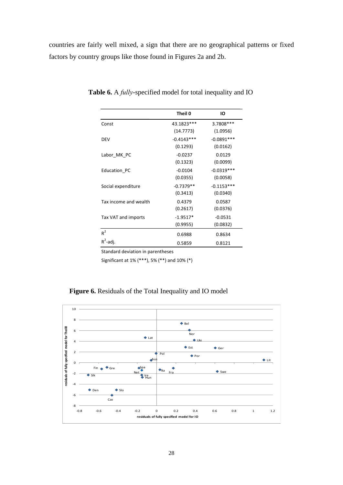countries are fairly well mixed, a sign that there are no geographical patterns or fixed factors by country groups like those found in Figures 2a and 2b.

|                       | Theil 0      | IО           |
|-----------------------|--------------|--------------|
| Const                 | 43.1823 ***  | 3.7808***    |
|                       | (14.7773)    | (1.0956)     |
| DEV                   | $-0.4143***$ | $-0.0891***$ |
|                       | (0.1293)     | (0.0162)     |
| Labor MK PC           | $-0.0237$    | 0.0129       |
|                       | (0.1323)     | (0.0099)     |
| Education PC          | $-0.0104$    | $-0.0319***$ |
|                       | (0.0355)     | (0.0058)     |
| Social expenditure    | $-0.7379**$  | $-0.1153***$ |
|                       | (0.3413)     | (0.0340)     |
| Tax income and wealth | 0.4379       | 0.0587       |
|                       | (0.2617)     | (0.0376)     |
| Tax VAT and imports   | $-1.9517*$   | $-0.0531$    |
|                       | (0.9955)     | (0.0832)     |
| $R^2$                 | 0.6988       | 0.8634       |
| $R^2$ -adj.           | 0.5859       | 0.8121       |

 **Table 6.** A *fully*-specified model for total inequality and IO

Standard deviation in parentheses

Significant at 1% (\*\*\*), 5% (\*\*) and 10% (\*)

**Figure 6.** Residuals of the Total Inequality and IO model

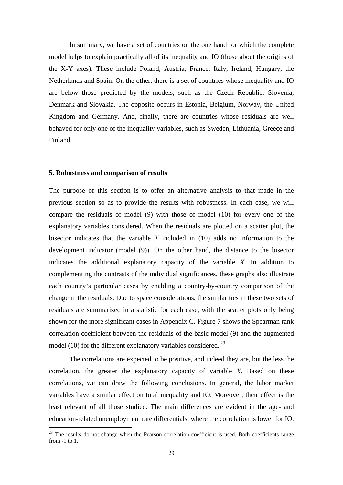In summary, we have a set of countries on the one hand for which the complete model helps to explain practically all of its inequality and IO (those about the origins of the X-Y axes). These include Poland, Austria, France, Italy, Ireland, Hungary, the Netherlands and Spain. On the other, there is a set of countries whose inequality and IO are below those predicted by the models, such as the Czech Republic, Slovenia, Denmark and Slovakia. The opposite occurs in Estonia, Belgium, Norway, the United Kingdom and Germany. And, finally, there are countries whose residuals are well behaved for only one of the inequality variables, such as Sweden, Lithuania, Greece and Finland.

#### **5. Robustness and comparison of results**

The purpose of this section is to offer an alternative analysis to that made in the previous section so as to provide the results with robustness. In each case, we will compare the residuals of model (9) with those of model (10) for every one of the explanatory variables considered. When the residuals are plotted on a scatter plot, the bisector indicates that the variable *X* included in (10) adds no information to the development indicator (model (9)). On the other hand, the distance to the bisector indicates the additional explanatory capacity of the variable *X*. In addition to complementing the contrasts of the individual significances, these graphs also illustrate each country's particular cases by enabling a country-by-country comparison of the change in the residuals. Due to space considerations, the similarities in these two sets of residuals are summarized in a statistic for each case, with the scatter plots only being shown for the more significant cases in Appendix C. Figure 7 shows the Spearman rank correlation coefficient between the residuals of the basic model (9) and the augmented model (10) for the different explanatory variables considered.<sup>23</sup>

The correlations are expected to be positive, and indeed they are, but the less the correlation, the greater the explanatory capacity of variable *X*. Based on these correlations, we can draw the following conclusions. In general, the labor market variables have a similar effect on total inequality and IO. Moreover, their effect is the least relevant of all those studied. The main differences are evident in the age- and education-related unemployment rate differentials, where the correlation is lower for IO.

<sup>&</sup>lt;sup>23</sup> The results do not change when the Pearson correlation coefficient is used. Both coefficients range from  $-1$  to  $1$ .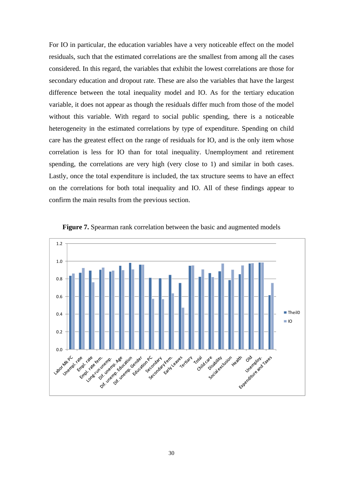For IO in particular, the education variables have a very noticeable effect on the model residuals, such that the estimated correlations are the smallest from among all the cases considered. In this regard, the variables that exhibit the lowest correlations are those for secondary education and dropout rate. These are also the variables that have the largest difference between the total inequality model and IO. As for the tertiary education variable, it does not appear as though the residuals differ much from those of the model without this variable. With regard to social public spending, there is a noticeable heterogeneity in the estimated correlations by type of expenditure. Spending on child care has the greatest effect on the range of residuals for IO, and is the only item whose correlation is less for IO than for total inequality. Unemployment and retirement spending, the correlations are very high (very close to 1) and similar in both cases. Lastly, once the total expenditure is included, the tax structure seems to have an effect on the correlations for both total inequality and IO. All of these findings appear to confirm the main results from the previous section.



**Figure 7.** Spearman rank correlation between the basic and augmented models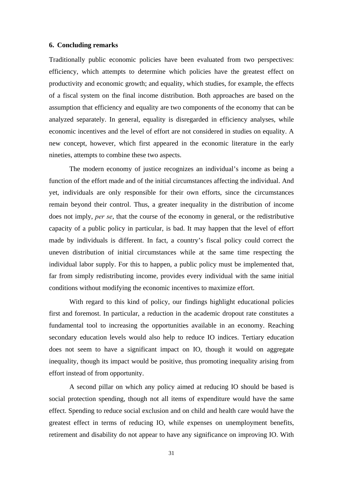#### **6. Concluding remarks**

Traditionally public economic policies have been evaluated from two perspectives: efficiency, which attempts to determine which policies have the greatest effect on productivity and economic growth; and equality, which studies, for example, the effects of a fiscal system on the final income distribution. Both approaches are based on the assumption that efficiency and equality are two components of the economy that can be analyzed separately. In general, equality is disregarded in efficiency analyses, while economic incentives and the level of effort are not considered in studies on equality. A new concept, however, which first appeared in the economic literature in the early nineties, attempts to combine these two aspects.

The modern economy of justice recognizes an individual's income as being a function of the effort made and of the initial circumstances affecting the individual. And yet, individuals are only responsible for their own efforts, since the circumstances remain beyond their control. Thus, a greater inequality in the distribution of income does not imply, *per se*, that the course of the economy in general, or the redistributive capacity of a public policy in particular, is bad. It may happen that the level of effort made by individuals is different. In fact, a country's fiscal policy could correct the uneven distribution of initial circumstances while at the same time respecting the individual labor supply. For this to happen, a public policy must be implemented that, far from simply redistributing income, provides every individual with the same initial conditions without modifying the economic incentives to maximize effort.

With regard to this kind of policy, our findings highlight educational policies first and foremost. In particular, a reduction in the academic dropout rate constitutes a fundamental tool to increasing the opportunities available in an economy. Reaching secondary education levels would also help to reduce IO indices. Tertiary education does not seem to have a significant impact on IO, though it would on aggregate inequality, though its impact would be positive, thus promoting inequality arising from effort instead of from opportunity.

A second pillar on which any policy aimed at reducing IO should be based is social protection spending, though not all items of expenditure would have the same effect. Spending to reduce social exclusion and on child and health care would have the greatest effect in terms of reducing IO, while expenses on unemployment benefits, retirement and disability do not appear to have any significance on improving IO. With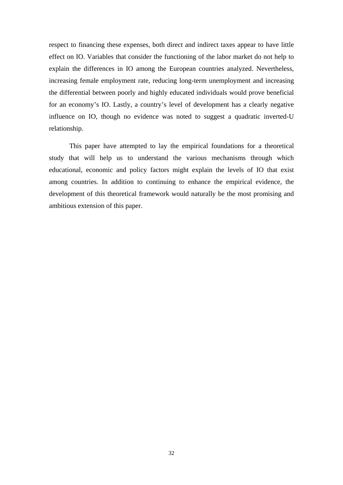respect to financing these expenses, both direct and indirect taxes appear to have little effect on IO. Variables that consider the functioning of the labor market do not help to explain the differences in IO among the European countries analyzed. Nevertheless, increasing female employment rate, reducing long-term unemployment and increasing the differential between poorly and highly educated individuals would prove beneficial for an economy's IO. Lastly, a country's level of development has a clearly negative influence on IO, though no evidence was noted to suggest a quadratic inverted-U relationship.

This paper have attempted to lay the empirical foundations for a theoretical study that will help us to understand the various mechanisms through which educational, economic and policy factors might explain the levels of IO that exist among countries. In addition to continuing to enhance the empirical evidence, the development of this theoretical framework would naturally be the most promising and ambitious extension of this paper.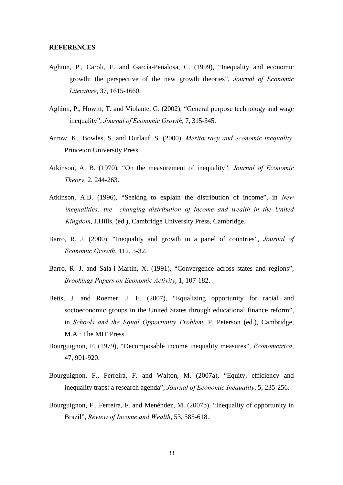# **REFERENCES**

- Aghion, P., Caroli, E. and García-Peñalosa, C. (1999), "Inequality and economic growth: the perspective of the new growth theories", *Journal of Economic Literature*, 37, 1615-1660.
- Aghion, P., Howitt, T. and Violante, G. (2002), "General purpose technology and wage inequality", *Journal of Economic Growth*, 7, 315-345.
- Arrow, K., Bowles, S. and Durlauf, S. (2000), *Meritocracy and economic inequality*. Princeton University Press.
- Atkinson, A. B. (1970), "On the measurement of inequality", *Journal of Economic Theory*, 2, 244-263.
- Atkinson, A.B. (1996), "Seeking to explain the distribution of income", in *New inequalities: the changing distribution of income and wealth in the United Kingdom*, J.Hills, (ed.), Cambridge University Press, Cambridge.
- Barro, R. J. (2000), "Inequality and growth in a panel of countries", *Journal of Economic Growth*, 112, 5-32.
- Barro, R. J. and Sala-i-Martin, X. (1991), "Convergence across states and regions", *Brookings Papers on Economic Activity*, 1, 107-182.
- Betts, J. and Roemer, J. E. (2007), "Equalizing opportunity for racial and socioeconomic groups in the United States through educational finance reform", in *Schools and the Equal Opportunity Problem*, P. Peterson (ed.), Cambridge, M.A.: The MIT Press.
- Bourguignon, F. (1979), "Decomposable income inequality measures", *Econometrica*, 47, 901-920.
- Bourguignon, F., Ferreira, F. and Walton, M. (2007a), "Equity, efficiency and inequality traps: a research agenda", *Journal of Economic Inequality*, 5, 235-256.
- Bourguignon, F., Ferreira, F. and Menéndez, M. (2007b), "Inequality of opportunity in Brazil", *Review of Income and Wealth*, 53, 585-618.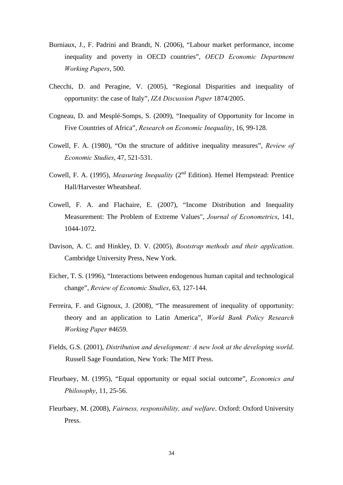- Burniaux, J., F. Padrini and Brandt, N. (2006), "Labour market performance, income inequality and poverty in OECD countries", *OECD Economic Department Working Papers*, 500.
- Checchi, D. and Peragine, V. (2005), "Regional Disparities and inequality of opportunity: the case of Italy", *IZA Discussion Paper* 1874/2005.
- Cogneau, D. and Mesplé-Somps, S. (2009), "Inequality of Opportunity for Income in Five Countries of Africa", *Research on Economic Inequality*, 16, 99-128.
- Cowell, F. A. (1980), "On the structure of additive inequality measures", *Review of Economic Studies*, 47, 521-531.
- Cowell, F. A. (1995), *Measuring Inequality* (2<sup>nd</sup> Edition). Hemel Hempstead: Prentice Hall/Harvester Wheatsheaf.
- Cowell, F. A. and Flachaire, E. (2007), "Income Distribution and Inequality Measurement: The Problem of Extreme Values", *Journal of Econometrics*, 141, 1044-1072.
- Davison, A. C. and Hinkley, D. V. (2005), *Bootstrap methods and their application*. Cambridge University Press, New York.
- Eicher, T. S. (1996), "Interactions between endogenous human capital and technological change", *Review of Economic Studies*, 63, 127-144.
- Ferreira, F. and Gignoux, J. (2008), "The measurement of inequality of opportunity: theory and an application to Latin America", *World Bank Policy Research Working Paper* #4659.
- Fields, G.S. (2001), *Distribution and development: A new look at the developing world*. Russell Sage Foundation, New York: The MIT Press.
- Fleurbaey, M. (1995), "Equal opportunity or equal social outcome", *Economics and Philosophy*, 11, 25-56.
- Fleurbaey, M. (2008), *Fairness, responsibility, and welfare*. Oxford: Oxford University Press.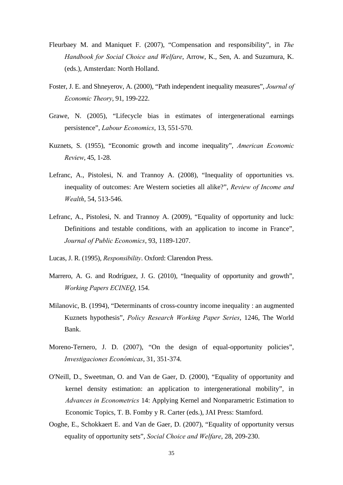- Fleurbaey M. and Maniquet F. (2007), "Compensation and responsibility", in *The Handbook for Social Choice and Welfare*, Arrow, K., Sen, A. and Suzumura, K. (eds.), Amsterdan: North Holland.
- Foster, J. E. and Shneyerov, A. (2000), "Path independent inequality measures", *Journal of Economic Theory*, 91, 199-222.
- Grawe, N. (2005), "Lifecycle bias in estimates of intergenerational earnings persistence", *Labour Economics*, 13, 551-570.
- Kuznets, S. (1955), "Economic growth and income inequality", *American Economic Review*, 45, 1-28.
- Lefranc, A., Pistolesi, N. and Trannoy A. (2008), "Inequality of opportunities vs. inequality of outcomes: Are Western societies all alike?", *Review of Income and Wealth*, 54, 513-546.
- Lefranc, A., Pistolesi, N. and Trannoy A. (2009), "Equality of opportunity and luck: Definitions and testable conditions, with an application to income in France", *Journal of Public Economics*, 93, 1189-1207.
- Lucas, J. R. (1995), *Responsibility*. Oxford: Clarendon Press.
- Marrero, A. G. and Rodríguez, J. G. (2010), "Inequality of opportunity and growth", *Working Papers ECINEQ*, 154.
- Milanovic, B. (1994), "Determinants of cross-country income inequality : an augmented Kuznets hypothesis", *Policy Research Working Paper Series*, 1246, The World Bank.
- Moreno-Ternero, J. D. (2007), "On the design of equal-opportunity policies", *Investigaciones Económicas*, 31, 351-374.
- O'Neill, D., Sweetman, O. and Van de Gaer, D. (2000), "Equality of opportunity and kernel density estimation: an application to intergenerational mobility", in *Advances in Econometrics* 14: Applying Kernel and Nonparametric Estimation to Economic Topics, T. B. Fomby y R. Carter (eds.), JAI Press: Stamford.
- Ooghe, E., Schokkaert E. and Van de Gaer, D. (2007), "Equality of opportunity versus equality of opportunity sets", *Social Choice and Welfare*, 28, 209-230.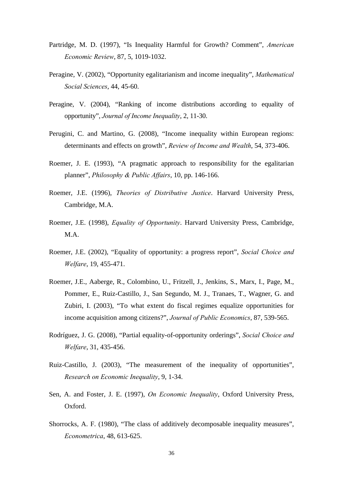- Partridge, M. D. (1997), "Is Inequality Harmful for Growth? Comment", *American Economic Review*, 87, 5, 1019-1032.
- Peragine, V. (2002), "Opportunity egalitarianism and income inequality", *Mathematical Social Sciences*, 44, 45-60.
- Peragine, V. (2004), "Ranking of income distributions according to equality of opportunity", *Journal of Income Inequality*, 2, 11-30.
- Perugini, C. and Martino, G. (2008), "Income inequality within European regions: determinants and effects on growth", *Review of Income and Wealth*, 54, 373-406.
- Roemer, J. E. (1993), "A pragmatic approach to responsibility for the egalitarian planner", *Philosophy & Public Affairs*, 10, pp. 146-166.
- Roemer, J.E. (1996), *Theories of Distributive Justice*. Harvard University Press, Cambridge, M.A.
- Roemer, J.E. (1998), *Equality of Opportunity*. Harvard University Press, Cambridge, M.A.
- Roemer, J.E. (2002), "Equality of opportunity: a progress report", *Social Choice and Welfare*, 19, 455-471.
- Roemer, J.E., Aaberge, R., Colombino, U., Fritzell, J., Jenkins, S., Marx, I., Page, M., Pommer, E., Ruiz-Castillo, J., San Segundo, M. J., Tranaes, T., Wagner, G. and Zubiri, I. (2003), "To what extent do fiscal regimes equalize opportunities for income acquisition among citizens?", *Journal of Public Economics*, 87, 539-565.
- Rodríguez, J. G. (2008), "Partial equality-of-opportunity orderings", *Social Choice and Welfare*, 31, 435-456.
- Ruiz-Castillo, J. (2003), "The measurement of the inequality of opportunities", *Research on Economic Inequality*, 9, 1-34.
- Sen, A. and Foster, J. E. (1997), *On Economic Inequality*, Oxford University Press, Oxford.
- Shorrocks, A. F. (1980), "The class of additively decomposable inequality measures", *Econometrica*, 48, 613-625.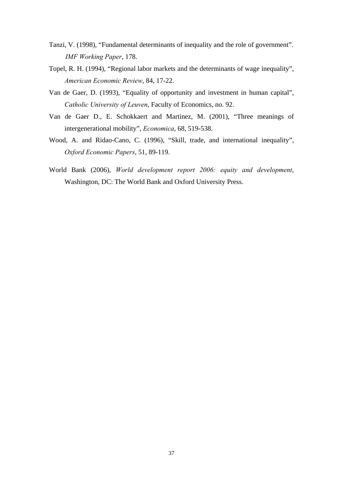- Tanzi, V. (1998), "Fundamental determinants of inequality and the role of government". *IMF Working Paper*, 178.
- Topel, R. H. (1994), "Regional labor markets and the determinants of wage inequality", *American Economic Review*, 84, 17-22.
- Van de Gaer, D. (1993), "Equality of opportunity and investment in human capital", *Catholic University of Leuven*, Faculty of Economics, no. 92.
- Van de Gaer D., E. Schokkaert and Martinez, M. (2001), "Three meanings of intergenerational mobility", *Economica*, 68, 519-538.
- Wood, A. and Ridao-Cano, C. (1996), "Skill, trade, and international inequality", *Oxford Economic Papers*, 51, 89-119.
- World Bank (2006), *World development report 2006: equity and development*, Washington, DC: The World Bank and Oxford University Press.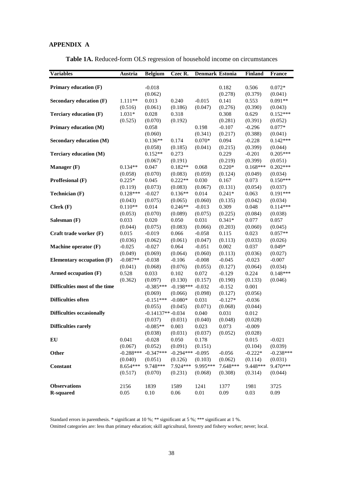# **APPENDIX A**

| Table 1A. Reduced-form OLS regression of household income on circumstances |  |
|----------------------------------------------------------------------------|--|
|----------------------------------------------------------------------------|--|

| <b>Variables</b>                 | Austria     | <b>Belgium</b>     | Czec R.     | <b>Denmark Estonia</b> |           | <b>Finland</b> | <b>France</b> |
|----------------------------------|-------------|--------------------|-------------|------------------------|-----------|----------------|---------------|
|                                  |             |                    |             |                        |           |                |               |
| Primary education (F)            |             | $-0.018$           |             |                        | 0.182     | 0.506          | $0.072*$      |
|                                  |             | (0.062)            |             |                        | (0.278)   | (0.379)        | (0.041)       |
| Secondary education (F)          | 1.111**     | 0.013              | 0.240       | $-0.015$               | 0.141     | 0.553          | $0.091**$     |
|                                  | (0.516)     | (0.061)            | (0.186)     | (0.047)                | (0.276)   | (0.390)        | (0.043)       |
| Terciary education (F)           | $1.031*$    | 0.028              | 0.318       |                        | 0.308     | 0.629          | $0.152***$    |
|                                  | (0.525)     | (0.070)            | (0.192)     |                        | (0.281)   | (0.391)        | (0.052)       |
| Primary education (M)            |             | 0.058              |             | 0.198                  | $-0.107$  | $-0.296$       | $0.077*$      |
|                                  |             | (0.060)            |             | (0.341)                | (0.217)   | (0.388)        | (0.041)       |
| Secondary education (M)          |             | $0.136**$          | 0.174       | $0.070*$               | 0.094     | $-0.228$       | $0.142***$    |
|                                  |             | (0.058)            | (0.185)     | (0.041)                | (0.215)   | (0.399)        | (0.044)       |
| Terciary education (M)           |             | $0.152**$          | 0.273       |                        | 0.229     | $-0.201$       | $0.205***$    |
|                                  |             | (0.067)            | (0.191)     |                        | (0.219)   | (0.399)        | (0.051)       |
| Manager (F)                      | $0.134**$   | 0.047              | $0.182**$   | 0.068                  | $0.220*$  | $0.168***$     | $0.202***$    |
|                                  | (0.058)     | (0.070)            | (0.083)     | (0.059)                | (0.124)   | (0.049)        | (0.034)       |
| Proffesional (F)                 | $0.225*$    | 0.045              | $0.222**$   | 0.030                  | 0.167     | 0.073          | $0.150***$    |
|                                  | (0.119)     | (0.073)            | (0.083)     | (0.067)                | (0.131)   | (0.054)        | (0.037)       |
| Technician (F)                   | $0.128***$  | $-0.027$           | $0.136**$   | 0.014                  | $0.241*$  | 0.063          | $0.191***$    |
|                                  | (0.043)     | (0.075)            | (0.065)     | (0.060)                | (0.135)   | (0.042)        | (0.034)       |
| Clerk(F)                         | $0.110**$   | 0.014              | $0.246**$   | $-0.013$               | 0.309     | 0.048          | $0.114***$    |
|                                  | (0.053)     | (0.070)            | (0.089)     | (0.075)                | (0.225)   | (0.084)        | (0.038)       |
| Salesman (F)                     | 0.033       | 0.020              | 0.050       | 0.031                  | $0.341*$  | 0.077          | 0.057         |
|                                  | (0.044)     | (0.075)            | (0.083)     | (0.066)                | (0.203)   | (0.060)        | (0.045)       |
| Craft trade worker (F)           | 0.015       | $-0.019$           | 0.066       | $-0.058$               | 0.115     | 0.023          | $0.057**$     |
|                                  | (0.036)     | (0.062)            | (0.061)     | (0.047)                | (0.113)   | (0.033)        | (0.026)       |
| Machine operator (F)             | $-0.025$    | $-0.027$           | 0.064       | $-0.051$               | 0.002     | 0.037          | $0.049*$      |
|                                  | (0.049)     | (0.069)            | (0.064)     | (0.060)                | (0.113)   | (0.036)        | (0.027)       |
| <b>Elementary occupation (F)</b> | $-0.087**$  | $-0.038$           | $-0.106$    | $-0.008$               | $-0.045$  | $-0.023$       | $-0.007$      |
|                                  | (0.041)     | (0.068)            | (0.076)     | (0.055)                | (0.127)   | (0.064)        | (0.034)       |
| Armed occupation (F)             | 0.528       | 0.033              | 0.102       | 0.072                  | $-0.129$  | 0.224          | $0.148***$    |
|                                  | (0.362)     | (0.097)            | (0.130)     | (0.157)                | (0.190)   | (0.133)        | (0.046)       |
| Difficulties most of the time    |             | $-0.385***$        | $-0.198***$ | $-0.032$               | $-0.152$  | 0.001          |               |
|                                  |             | (0.069)            | (0.066)     | (0.098)                | (0.127)   | (0.056)        |               |
| <b>Difficulties often</b>        |             | $-0.151***$        | $-0.080*$   | 0.031                  | $-0.127*$ | $-0.036$       |               |
|                                  |             | (0.055)            | (0.045)     | (0.071)                | (0.068)   | (0.044)        |               |
| <b>Difficulties occasionally</b> |             | $-0.14137**-0.034$ |             | 0.040                  | 0.031     | 0.012          |               |
|                                  |             | (0.037)            | (0.031)     | (0.040)                | (0.048)   | (0.028)        |               |
| <b>Difficulties rarely</b>       |             | $-0.085**$         | 0.003       | 0.023                  | 0.073     | $-0.009$       |               |
|                                  |             | (0.038)            | (0.031)     | (0.037)                | (0.052)   | (0.028)        |               |
| EU                               | 0.041       | $-0.028$           | 0.050       | 0.178                  |           | 0.015          | $-0.021$      |
|                                  | (0.067)     | (0.052)            | (0.091)     | (0.151)                |           | (0.104)        | (0.039)       |
| Other                            | $-0.288***$ | $-0.347***$        | $-0.294***$ | $-0.095$               | $-0.056$  | $-0.222*$      | $-0.238***$   |
|                                  | (0.040)     | (0.051)            | (0.126)     | (0.103)                | (0.062)   | (0.114)        | (0.031)       |
| Constant                         | 8.654***    | 9.748***           | 7.924***    | 9.995***               | 7.648***  | 9.448***       | 9.470***      |
|                                  | (0.517)     | (0.070)            | (0.231)     | (0.068)                | (0.308)   | (0.314)        | (0.044)       |
|                                  |             |                    |             |                        |           |                |               |
| <b>Observations</b>              | 2156        | 1839               | 1589        | 1241                   | 1377      | 1981           | 3725          |
| <b>R-squared</b>                 | 0.05        | 0.10               | 0.06        | $0.01\,$               | 0.09      | 0.03           | 0.09          |
|                                  |             |                    |             |                        |           |                |               |

Standard errors in parenthesis. \* significant at 10 %; \*\* significant at 5 %; \*\*\* significant at 1 %.

Omitted categories are: less than primary education; skill agricultural, forestry and fishery worker; never; local.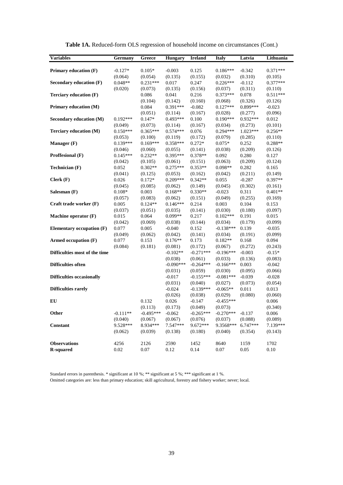| <b>Variables</b>                 | Germany             | Greece                 | <b>Hungary</b> | <b>Ireland</b>         | <b>Italy</b>           | Latvia     | Lithuania  |
|----------------------------------|---------------------|------------------------|----------------|------------------------|------------------------|------------|------------|
|                                  |                     |                        |                |                        |                        |            |            |
| <b>Primary education (F)</b>     | $-0.127*$           | $0.105*$               | $-0.003$       | 0.125                  | $0.186***$             | $-0.342$   | $0.371***$ |
|                                  | (0.064)             | (0.054)                | (0.135)        | (0.155)                | (0.032)                | (0.310)    | (0.105)    |
| <b>Secondary education (F)</b>   | $0.048**$           | $0.231***$             | 0.017          | 0.247                  | $0.226***$             | $-0.112$   | $0.377***$ |
|                                  | (0.020)             | (0.073)                | (0.135)        | (0.156)                | (0.037)                | (0.311)    | (0.110)    |
| Terciary education (F)           |                     | 0.086                  | 0.041          | 0.216                  | $0.373***$             | 0.078      | $0.511***$ |
|                                  |                     | (0.104)                | (0.142)        | (0.160)                | (0.068)                | (0.326)    | (0.126)    |
| Primary education (M)            |                     | 0.084                  | $0.391***$     | $-0.082$               | $0.127***$             | 0.899***   | $-0.023$   |
|                                  |                     | (0.051)                | (0.114)        | (0.167)                | (0.028)                | (0.277)    | (0.096)    |
| Secondary education (M)          | $0.192***$          | $0.147*$               | $0.493***$     | 0.100                  | $0.190***$             | 0.932***   | 0.012      |
|                                  | (0.049)             | (0.073)                | (0.114)        | (0.167)                | (0.034)                | (0.273)    | (0.101)    |
| Terciary education (M)           | $0.150***$          | $0.365***$             | $0.574***$     | 0.076                  | $0.294***$             | $1.023***$ | $0.256**$  |
|                                  | (0.053)             | (0.100)                | (0.119)        | (0.172)                | (0.079)                | (0.285)    | (0.110)    |
| Manager $(F)$                    | $0.139***$          | $0.169***$             | $0.358***$     | $0.272*$               | $0.075*$               | 0.252      | $0.288**$  |
|                                  | (0.046)             | (0.060)                | (0.055)        | (0.141)                | (0.038)                | (0.209)    | (0.126)    |
| Proffesional (F)                 | $0.145***$          | $0.232**$              | $0.395***$     | $0.378**$              | 0.092                  | 0.280      | 0.127      |
|                                  | (0.042)             | (0.105)                | (0.061)        | (0.151)                | (0.063)                | (0.209)    | (0.124)    |
| Technician $(F)$                 | 0.052               | $0.302**$              | $0.275***$     | $0.353**$              | $0.098**$              | 0.282      | 0.165      |
|                                  | (0.041)             | (0.125)                | (0.053)        | (0.162)                | (0.042)                | (0.211)    | (0.149)    |
| Clerk(F)                         | 0.026               | $0.172*$               | $0.209***$     | $0.342**$              | 0.055                  | $-0.287$   | 0.397**    |
|                                  | (0.045)             | (0.085)                | (0.062)        | (0.149)                | (0.045)                | (0.302)    | (0.161)    |
| Salesman (F)                     | $0.108*$            | 0.003                  | $0.168**$      | $0.330**$              | $-0.023$               | 0.311      | $0.401**$  |
|                                  | (0.057)             | (0.083)                | (0.062)        | (0.151)                | (0.049)                | (0.255)    | (0.169)    |
| Craft trade worker (F)           | 0.005               | $0.124**$              | $0.146***$     | 0.214                  | 0.003                  | 0.104      | 0.153      |
|                                  | (0.037)             | (0.051)                | (0.035)        | (0.141)                | (0.030)                | (0.180)    | (0.097)    |
| Machine operator $(F)$           | 0.015               | 0.064                  | 0.099**        | 0.217                  | $0.102***$             | 0.191      | 0.015      |
|                                  | (0.042)             | (0.069)                | (0.038)        | (0.144)                | (0.034)                | (0.179)    | (0.099)    |
| Elementary occupation (F)        | 0.077               | 0.005                  | $-0.040$       | 0.152                  | $-0.138***$            | 0.139      | $-0.035$   |
|                                  | (0.049)             | (0.062)                | (0.042)        | (0.141)                | (0.034)                | (0.191)    | (0.099)    |
| Armed occupation $(F)$           | 0.077               | 0.153                  | $0.176**$      | 0.173                  | $0.182**$              | 0.168      | 0.094      |
|                                  | (0.084)             | (0.181)                | (0.081)        | (0.172)                | (0.067)                | (0.272)    | (0.243)    |
| Difficulties most of the time    |                     |                        | $-0.102**$     | $-0.271***$            | $-0.196***$            | $-0.003$   | $-0.15*$   |
|                                  |                     |                        | (0.038)        | (0.061)                | (0.033)                | (0.136)    | (0.083)    |
| <b>Difficulties often</b>        |                     |                        | $-0.090***$    | $-0.264***$            | $-0.166***$            | 0.003      | $-0.042$   |
|                                  |                     |                        | (0.031)        | (0.059)                | (0.030)                | (0.095)    | (0.066)    |
| <b>Difficulties occasionally</b> |                     |                        | $-0.017$       | $-0.155***$            | $-0.081***$            | $-0.039$   | $-0.028$   |
|                                  |                     |                        | (0.031)        | (0.040)                | (0.027)                | (0.073)    | (0.054)    |
| <b>Difficulties rarely</b>       |                     |                        | $-0.024$       | $-0.139***$            | $-0.065**$             | 0.011      | 0.013      |
|                                  |                     |                        | (0.026)        | (0.038)                | (0.029)                | (0.080)    | (0.060)    |
| EU                               |                     | 0.132                  | 0.026          | $-0.147$               | $-0.455***$            |            | 0.006      |
|                                  |                     | (0.113)<br>$-0.495***$ | (0.173)        | (0.049)<br>$-0.265***$ | (0.073)<br>$-0.270***$ |            | (0.340)    |
| Other                            | $-0.111**$          |                        | $-0.062$       |                        |                        | $-0.137$   | 0.006      |
|                                  | (0.040)<br>9.528*** | (0.067)                | (0.067)        | (0.076)                | (0.037)                | (0.088)    | (0.089)    |
| Constant                         |                     | 8.934***               | 7.547***       | 9.672***               | 9.3568***              | $6.747***$ | 7.139***   |
|                                  | (0.062)             | (0.039)                | (0.138)        | (0.180)                | (0.040)                | (0.354)    | (0.143)    |
| <b>Observations</b>              | 4256                | 2126                   | 2590           | 1452                   | 8640                   | 1159       | 1702       |
| <b>R-squared</b>                 | 0.02                | 0.07                   | 0.12           | 0.14                   | 0.07                   | 0.05       | 0.10       |
|                                  |                     |                        |                |                        |                        |            |            |

**Table 1A.** Reduced-form OLS regression of household income on circumstances (Cont.)

Standard errors in parenthesis. \* significant at 10 %; \*\* significant at 5 %; \*\*\* significant at 1 %.

Omitted categories are: less than primary education; skill agricultural, forestry and fishery worker; never; local.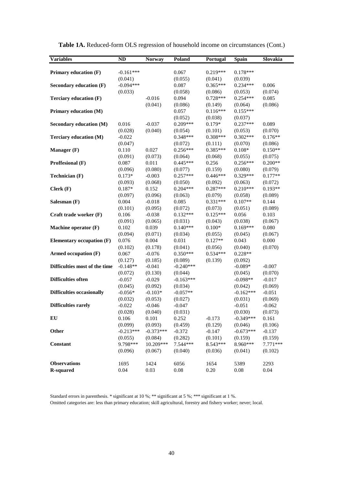| <b>Variables</b>                 | <b>ND</b><br><b>Norway</b> |             | Poland      | Portugal   | <b>Spain</b> | Slovakia  |  |  |  |  |  |
|----------------------------------|----------------------------|-------------|-------------|------------|--------------|-----------|--|--|--|--|--|
|                                  |                            |             |             |            |              |           |  |  |  |  |  |
| Primary education (F)            | $-0.161***$                |             | 0.067       | $0.219***$ | $0.178***$   |           |  |  |  |  |  |
|                                  | (0.041)                    |             | (0.055)     | (0.041)    | (0.039)      |           |  |  |  |  |  |
| Secondary education (F)          | $-0.094***$                |             | 0.087       | $0.365***$ | $0.234***$   | 0.006     |  |  |  |  |  |
|                                  | (0.033)                    |             | (0.058)     | (0.086)    | (0.053)      | (0.074)   |  |  |  |  |  |
| Terciary education (F)           |                            | $-0.016$    | 0.094       | $0.728***$ | $0.254***$   | 0.085     |  |  |  |  |  |
|                                  |                            | (0.041)     | (0.086)     | (0.149)    | (0.064)      | (0.086)   |  |  |  |  |  |
| Primary education (M)            |                            |             | 0.057       | $0.116***$ | $0.155***$   |           |  |  |  |  |  |
|                                  |                            |             | (0.052)     | (0.038)    | (0.037)      |           |  |  |  |  |  |
| Secondary education (M)          | 0.016                      | $-0.037$    | 0.209***    | $0.179*$   | $0.237***$   | 0.089     |  |  |  |  |  |
|                                  | (0.028)                    | (0.040)     | (0.054)     | (0.101)    | (0.053)      | (0.070)   |  |  |  |  |  |
| Terciary education (M)           | $-0.022$                   |             | $0.348***$  | $0.308***$ | $0.302***$   | $0.176**$ |  |  |  |  |  |
|                                  | (0.047)                    |             | (0.072)     | (0.111)    | (0.070)      | (0.086)   |  |  |  |  |  |
| Manager (F)                      | 0.110                      | 0.027       | $0.256***$  | $0.385***$ | $0.108*$     | $0.150**$ |  |  |  |  |  |
|                                  | (0.091)                    | (0.073)     | (0.064)     | (0.068)    | (0.055)      | (0.075)   |  |  |  |  |  |
| Proffesional (F)                 | 0.087                      | 0.011       | $0.445***$  | 0.256      | $0.256***$   | $0.200**$ |  |  |  |  |  |
|                                  | (0.096)                    | (0.080)     | (0.077)     | (0.159)    | (0.080)      | (0.079)   |  |  |  |  |  |
| Technician (F)                   | $0.173*$                   | $-0.003$    | $0.257***$  | $0.446***$ | $0.329***$   | $0.177**$ |  |  |  |  |  |
|                                  | (0.093)                    | (0.068)     | (0.050)     | (0.092)    | (0.063)      | (0.072)   |  |  |  |  |  |
| Clerk(F)                         | $0.187*$                   | 0.152       | $0.204***$  | $0.287***$ | $0.210***$   | $0.193**$ |  |  |  |  |  |
|                                  | (0.097)                    | (0.096)     | (0.063)     | (0.079)    | (0.058)      | (0.089)   |  |  |  |  |  |
| Salesman $(F)$                   | 0.004                      | $-0.018$    | 0.085       | $0.331***$ | $0.107**$    | 0.144     |  |  |  |  |  |
|                                  | (0.101)                    | (0.095)     | (0.072)     | (0.073)    | (0.051)      | (0.089)   |  |  |  |  |  |
| Craft trade worker (F)           | 0.106                      | $-0.038$    | $0.132***$  | $0.125***$ | 0.056        | 0.103     |  |  |  |  |  |
|                                  | (0.091)                    | (0.065)     | (0.031)     | (0.043)    | (0.038)      | (0.067)   |  |  |  |  |  |
| Machine operator (F)             | 0.102                      | 0.039       | $0.140***$  | $0.100*$   | $0.169***$   | 0.080     |  |  |  |  |  |
|                                  | (0.094)                    | (0.071)     | (0.034)     | (0.055)    | (0.045)      | (0.067)   |  |  |  |  |  |
| Elementary occupation (F)        | 0.076                      | 0.004       | 0.031       | $0.127**$  | 0.043        | 0.000     |  |  |  |  |  |
|                                  | (0.102)                    | (0.178)     | (0.041)     | (0.056)    | (0.040)      | (0.070)   |  |  |  |  |  |
| Armed occupation (F)             | 0.067                      | $-0.076$    | $0.350***$  | $0.534***$ | $0.228**$    |           |  |  |  |  |  |
|                                  | (0.127)                    | (0.185)     | (0.089)     | (0.139)    | (0.092)      |           |  |  |  |  |  |
| Difficulties most of the time    | $-0.148**$                 | $-0.041$    | $-0.240***$ |            | $-0.089*$    | $-0.007$  |  |  |  |  |  |
|                                  | (0.072)                    | (0.130)     | (0.044)     |            | (0.045)      | (0.070)   |  |  |  |  |  |
| <b>Difficulties often</b>        | $-0.057$                   | $-0.029$    | $-0.163***$ |            | $-0.098**$   | $-0.017$  |  |  |  |  |  |
|                                  | (0.045)                    | (0.092)     | (0.034)     |            | (0.042)      | (0.069)   |  |  |  |  |  |
| <b>Difficulties occasionally</b> | $-0.056*$                  | $-0.103*$   | $-0.057**$  |            | $-0.162***$  | $-0.051$  |  |  |  |  |  |
|                                  | (0.032)                    | (0.053)     | (0.027)     |            | (0.031)      | (0.069)   |  |  |  |  |  |
| <b>Difficulties rarely</b>       | $-0.022$                   | $-0.046$    | $-0.047$    |            | $-0.051$     | $-0.062$  |  |  |  |  |  |
|                                  | (0.028)                    | (0.040)     | (0.031)     |            | (0.030)      | (0.073)   |  |  |  |  |  |
| EU                               | 0.106                      | 0.101       | 0.252       | $-0.173$   | $-0.349***$  | 0.161     |  |  |  |  |  |
|                                  | (0.099)                    | (0.093)     | (0.459)     | (0.129)    | (0.046)      | (0.106)   |  |  |  |  |  |
| Other                            | $-0.213***$                | $-0.373***$ | $-0.372$    | $-0.147$   | $-0.673***$  | $-0.137$  |  |  |  |  |  |
|                                  | (0.055)                    | (0.084)     | (0.282)     | (0.101)    | (0.159)      | (0.159)   |  |  |  |  |  |
| Constant                         | 9.798***                   | 10.209***   | 7.544 ***   | 8.543***   | 8.960***     | 7.771***  |  |  |  |  |  |
|                                  | (0.096)                    | (0.067)     | (0.040)     | (0.036)    | (0.041)      | (0.102)   |  |  |  |  |  |
| <b>Observations</b>              | 1695                       |             |             |            |              |           |  |  |  |  |  |
|                                  |                            | 1424        | 6056        | 1654       | 5389         | 2293      |  |  |  |  |  |
| <b>R-squared</b>                 | 0.04                       | 0.03        | $0.08\,$    | 0.20       | 0.08         | 0.04      |  |  |  |  |  |

**Table 1A.** Reduced-form OLS regression of household income on circumstances (Cont.)

Standard errors in parenthesis. \* significant at 10 %; \*\* significant at 5 %; \*\*\* significant at 1 %. Omitted categories are: less than primary education; skill agricultural, forestry and fishery worker; never; local.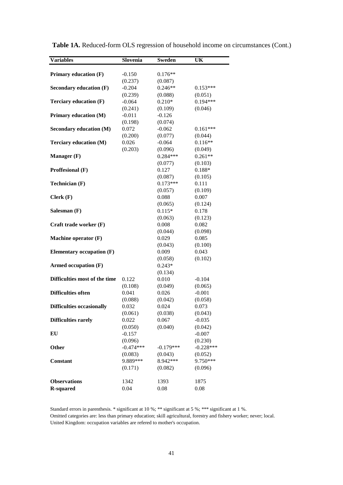| <b>Variables</b>                 | Slovenia         | <b>Sweden</b>       | UK                    |
|----------------------------------|------------------|---------------------|-----------------------|
|                                  |                  |                     |                       |
| Primary education (F)            | $-0.150$         | $0.176**$           |                       |
|                                  | (0.237)          | (0.087)             |                       |
| <b>Secondary education (F)</b>   | $-0.204$         | $0.246**$           | $0.153***$            |
|                                  | (0.239)          | (0.088)             | (0.051)<br>$0.194***$ |
| Terciary education (F)           | $-0.064$         | $0.210*$            |                       |
| Primary education (M)            | (0.241)          | (0.109)             | (0.046)               |
|                                  | $-0.011$         | $-0.126$<br>(0.074) |                       |
| <b>Secondary education (M)</b>   | (0.198)<br>0.072 | $-0.062$            | $0.161***$            |
|                                  | (0.200)          | (0.077)             | (0.044)               |
| Terciary education (M)           | 0.026            | $-0.064$            | $0.116**$             |
|                                  | (0.203)          | (0.096)             | (0.049)               |
| <b>Manager</b> (F)               |                  | $0.284***$          | $0.261**$             |
|                                  |                  | (0.077)             | (0.103)               |
| Proffesional (F)                 |                  | 0.127               | $0.188*$              |
|                                  |                  | (0.087)             | (0.105)               |
| Technician (F)                   |                  | $0.173***$          | 0.111                 |
|                                  |                  | (0.057)             | (0.109)               |
| Clerk(F)                         |                  | 0.088               | 0.007                 |
|                                  |                  | (0.065)             | (0.124)               |
| Salesman (F)                     |                  | $0.115*$            | 0.178                 |
|                                  |                  | (0.063)             | (0.123)               |
| Craft trade worker (F)           |                  | 0.008               | 0.082                 |
|                                  |                  | (0.044)             | (0.098)               |
| Machine operator (F)             |                  | 0.029               | 0.085                 |
|                                  |                  | (0.043)             | (0.100)               |
| Elementary occupation (F)        |                  | 0.009               | 0.043                 |
|                                  |                  | (0.058)             | (0.102)               |
| Armed occupation (F)             |                  | $0.243*$            |                       |
|                                  |                  | (0.134)             |                       |
| Difficulties most of the time    | 0.122            | 0.010               | $-0.104$              |
|                                  | (0.108)          | (0.049)             | (0.065)               |
| <b>Difficulties often</b>        | 0.041            | 0.026               | $-0.001$              |
|                                  | (0.088)          | (0.042)             | (0.058)               |
| <b>Difficulties occasionally</b> | 0.032            | 0.024               | 0.073                 |
|                                  | (0.061)          | (0.038)             | (0.043)               |
| <b>Difficulties rarely</b>       | 0.022            | 0.067               | $-0.035$              |
|                                  | (0.050)          | (0.040)             | (0.042)               |
| EU                               | $-0.157$         |                     | $-0.007$              |
|                                  | (0.096)          |                     | (0.230)               |
| Other                            | $-0.474***$      | $-0.179***$         | $-0.228***$           |
|                                  | (0.083)          | (0.043)             | (0.052)               |
| <b>Constant</b>                  | 9.889***         | 8.942***            | 9.750***              |
|                                  | (0.171)          | (0.082)             | (0.096)               |
|                                  |                  |                     |                       |
| <b>Observations</b>              | 1342             | 1393                | 1875                  |
| <b>R-squared</b>                 | 0.04             | 0.08                | 0.08                  |

**Table 1A.** Reduced-form OLS regression of household income on circumstances (Cont.)

Standard errors in parenthesis. \* significant at 10 %; \*\* significant at 5 %; \*\*\* significant at 1 %.

Omitted categories are: less than primary education; skill agricultural, forestry and fishery worker; never; local. United Kingdom: occupation variables are refered to mother's occupation.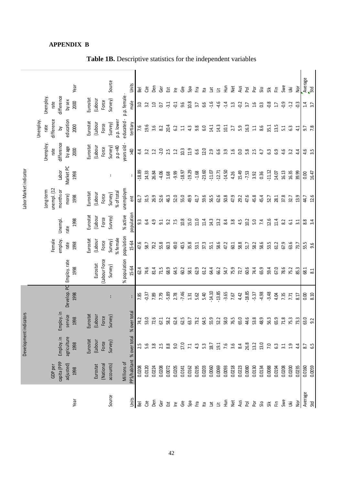# **APPENDIX B**

**Table 1B.** Descriptive statistics for the independent variables

|                         |                                                                   | Developmentindicators                                   |                                                        |                     |                                                                   |                                                                            |                                                                   | Labor Market indicator                                                    |                            |                                                                        |                                                                                |                                                                |                         |
|-------------------------|-------------------------------------------------------------------|---------------------------------------------------------|--------------------------------------------------------|---------------------|-------------------------------------------------------------------|----------------------------------------------------------------------------|-------------------------------------------------------------------|---------------------------------------------------------------------------|----------------------------|------------------------------------------------------------------------|--------------------------------------------------------------------------------|----------------------------------------------------------------|-------------------------|
| Year                    | capita (PPP<br>adjusted)<br>GDP per<br>1998                       | Employ.in<br>agriculture<br>1998                        | Employ.in<br>service<br>1998                           | Develop. PC<br>1998 | Employ.rate<br>1998                                               | employ.<br>Female<br>1998<br>rate                                          | 1998<br>Unempl.<br>rate                                           | unempl. (12<br>Long-term<br>months or<br>more)<br>1998                    | Market PC<br>Labor<br>1998 | difference<br>Unenploy.<br>by age<br>rate<br>2000                      | difference<br>education<br>Unenploy.<br>rate<br>2000<br>$\geq$                 | Unenploy.<br>difference<br>by sex<br>rate<br>2000              | Year                    |
| Source<br>Units         | PPS/habitant<br>Millions of<br>accounts)<br>(National<br>Eurostat | % over total<br>Eurostat<br>(Labour<br>Survey)<br>Force | % overtotal<br>Eurostat<br>(Labour<br>Survey)<br>Force |                     | population<br>(Labour Force<br>Eurostat<br>Survey)<br>15-64<br>৯ৎ | population<br>% female<br>Eurostat<br>(Labour<br>Survey)<br>Force<br>15-64 | population<br>% active<br>Eurostat<br>(Labour<br>Survey)<br>Force | unemploym<br>% of total<br>Eurostat<br>Survey)<br>(Labour<br>Force<br>ent | ÷                          | years old<br>Eurostat<br>(Labour<br>p.p < 40<br>Survey)<br>Force<br>∯< | educated-<br>p.p. lower<br>Eurostat<br>(Labour<br>Survey)<br>tertiary<br>Force | p.p. female<br>Survey)<br>Eurostat<br>(Labour<br>Force<br>male | Source<br>Units         |
| <b>Bei</b>              | 0.0208                                                            | 25                                                      | 74.2                                                   | 7.85                | 62.4                                                              | 47.6                                                                       | 9.3                                                               | 61.7                                                                      | $-18.89$                   | 4.4                                                                    | 7.6                                                                            | 3.0                                                            | ෂූ                      |
| Cze                     | 0.0120                                                            | <u>م</u><br>5.6                                         | 53.0                                                   | $-0.37$             | 74.6                                                              | 58.7                                                                       | 6.4                                                               | 31.5                                                                      | 14.33                      | 3.2                                                                    | 19.6                                                                           | 3.2                                                            | ය<br>ප                  |
| Den                     | 0.0224                                                            | 3.8                                                     | 72.6                                                   | 7.89                | 81.4                                                              | 70.2                                                                       | 4.9                                                               | 26.9                                                                      | 26.84                      | 12                                                                     | 3.6                                                                            | 1.0                                                            | Den                     |
| ළි                      | 0.0208                                                            | 2.5                                                     | 67.1                                                   | 7.79                | 71.5                                                              | 55.8                                                                       | 9.1                                                               | 52.6                                                                      | $-4.06$                    | $-2.0$                                                                 | 82                                                                             | $\overline{0}$                                                 | ළි                      |
| <b>Est</b>              | 0.0072                                                            | 8.8                                                     | 58.2                                                   | $-5.89$             | 68.9                                                              | 60.3                                                                       | 9.2                                                               | 46.3                                                                      | 1.68                       | 2.5                                                                    | 20.4                                                                           | $\ddot{3}$                                                     | <b>Est</b>              |
| $\mathbf{e}$            | 0.0205                                                            | 9.0                                                     | 62.4                                                   | 2.78                | 64.5                                                              | 49.0                                                                       | 7.5                                                               | 52.0                                                                      | $-9.99$                    | 1.2                                                                    | 62                                                                             | $-0.1$                                                         | 뽇                       |
| Gre                     | 0.0141                                                            | 17.0                                                    | 62.5                                                   | $-7.46$             | 60.2                                                              | 40.5                                                                       | 10.8                                                              | 55.0                                                                      | $-18.97$                   | 10.3                                                                   | $\Xi$                                                                          | 9.6                                                            | Gre                     |
| Spa                     | 0.0162                                                            | 7.1                                                     | 63.7                                                   | 1.31                | 58.1                                                              | 35.8                                                                       | 15.0                                                              | 49.9                                                                      | $-19.29$                   | 11.9                                                                   | 4 <sub>3</sub>                                                                 | 10.8                                                           | Spa                     |
| ۴a                      | 0.0195                                                            | 43                                                      | 73.2                                                   | 5.62                | 62.9                                                              | 53.1                                                                       | 11.0                                                              | 41.7                                                                      | $-1.68$                    | 6.6                                                                    | 9.8                                                                            | 3.7                                                            | ۴a                      |
| E4                      | 0.0203                                                            | 5.3                                                     | 64.5                                                   | 5.40                | 61.2                                                              | 37.3                                                                       | 11.4                                                              | 59.6                                                                      | $-23.60$                   | 12.0                                                                   | 6.0                                                                            | 9.9                                                            | 립                       |
| $\overline{a}$          | 0.0060                                                            | 18.7                                                    | 55.9                                                   | .14.10              | 64.4                                                              | 55.1                                                                       | 14.3                                                              | 56.5                                                                      | $-11.07$                   | 2.9                                                                    | 14.1                                                                           | $-1.6$                                                         | $\overline{a}$          |
| $\equiv$                | 0.0069                                                            | 19.1                                                    | 52.2                                                   | -13.85              | 66.2                                                              | 58.6                                                                       | 13.2                                                              | 62.6                                                                      | $-12.71$                   | 6.6                                                                    | 14.3                                                                           | $-4.6$                                                         | $\ddot{=}$              |
| $rac{5}{5}$             | 0.0093                                                            | 7.6                                                     | 58.0                                                   | $-3.65$             | 54.7                                                              | 47.2                                                                       | 8.4                                                               | 50.8                                                                      | $-14.50$                   | 3.9                                                                    | 10.1                                                                           | $-1.4$                                                         | $rac{5}{5}$             |
| Net                     | 0.0218                                                            | 3.6                                                     | 76.5                                                   | 7.67                | 75.9                                                              | 60.1                                                                       | 3.8                                                               | 47.9                                                                      | 4.26                       | 1.6                                                                    | 2.7                                                                            | 13                                                             | Net                     |
| Aus                     | 0.0223                                                            | 8.4                                                     | 65.0                                                   | 4.42                | 72.7                                                              | 58.8                                                                       | 4.5                                                               | 29.2                                                                      | 15.49                      | 0.0                                                                    | 5.9                                                                            | ĊĢ.                                                            | Aus                     |
| $\overline{P}$          | 0.0080                                                            | 26.8                                                    | 44.6                                                   | -18.85              | 60.6                                                              | 51.7                                                                       | 10.2                                                              | 47.6                                                                      | $-7.53$                    | 5.8                                                                    | 16.3                                                                           | 3.7                                                            | $\overline{2}$          |
| $\overline{P}$          | 0.0130                                                            | 13.2                                                    | 53.8                                                   | $-5.37$             | 74.4                                                              | 58.2                                                                       | 5.0                                                               | 45.8                                                                      | 3.92                       | 2.5                                                                    | 11                                                                             | 1.6                                                            | ă                       |
| $\frac{5}{5}$           | 0.0134                                                            | 13.0                                                    | 48.9                                                   | $-4.98$             | 65.9                                                              | 58.6                                                                       | 7.4                                                               | 45.4                                                                      | 0.36                       | 4.7                                                                    | 8.6                                                                            | $\overline{0}3$                                                | $\overline{\mathsf{S}}$ |
| š                       | 0.0088                                                            | 7.0                                                     | 56.3                                                   | $-3.48$             | 59.4                                                              | 53.5                                                                       | 12.6                                                              | 52.7                                                                      | $-11.12$                   | 63                                                                     | 35.1                                                                           | $-0.8$                                                         | $\frac{1}{5}$           |
| 둔                       | 0.0194                                                            | 63                                                      | 65.9                                                   | 4.04                | 67.0                                                              | 61.2                                                                       | 11.4                                                              | 28.1                                                                      | 14.07                      | 6.9                                                                    | 13.5                                                                           | $\overline{11}$                                                | 둔                       |
| Swe                     | 0.0208                                                            | 3.1                                                     | 71.8                                                   | 7.35                | 78.6                                                              | 67.9                                                                       | 8.2                                                               | 37.8                                                                      | 16.13                      | 4.6                                                                    | 51                                                                             | <b>9.0-</b>                                                    | Swe                     |
| 言                       | 0.0200                                                            | 1.9                                                     | 75.3                                                   | 7.71                | 75.2                                                              | 63.6                                                                       | 61                                                                | 32.7                                                                      | 16.35                      | 3.2                                                                    | ය                                                                              | $-1.2$                                                         | ぎ                       |
| $\overline{\mathsf{a}}$ | 0.0235                                                            | 4.4                                                     | 73.3                                                   | 8.17                | 85.3                                                              | 73.7                                                                       | 3.1                                                               | 13.9                                                                      | 39.99                      | 4.4                                                                    | $\frac{4}{1}$                                                                  | $-0.3$                                                         | $\overline{5}$          |
| Average                 | 0.0160                                                            | 87                                                      | 63.0                                                   | 0.00                | 68.1                                                              | 55.5                                                                       | 8.8                                                               | 47                                                                        | 0.00                       | 4.6                                                                    | 9.7                                                                            | 1.4                                                            | Average                 |
| Std                     | 0.0059                                                            | م.<br>ف                                                 | 9.2                                                    | 8.10                | 8.1                                                               | 9.6                                                                        | 3.4                                                               | 12.6                                                                      | 16.47                      | 3.5                                                                    | 7.8                                                                            | $\overline{3.7}$                                               | 55                      |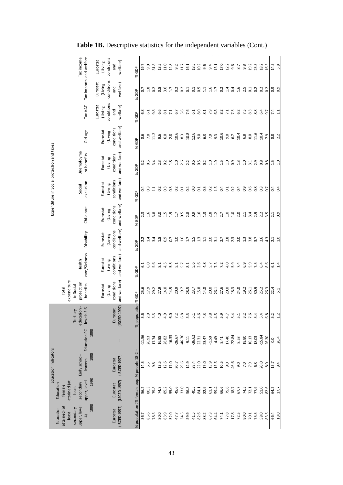|                                            |                                     |                    | Tax income                |      | Eurostat<br>(Living | conditions<br>and     | welfare)     | % GDP                                     | 19.7           | 9.0              | 31.8  | 13.5  | 11.0             | 14.8             | 9.2      | 11.7     | 16.1    | 18.5            | 10.2           | 9.6             | 9.4     | 13.1    | 17.0 | 12.2  | 9.6      | 8.7  | 9.8   | 19.2             | 25.5             | 18.2             | 16.5             | 14.5           | 5.8            |
|--------------------------------------------|-------------------------------------|--------------------|---------------------------|------|---------------------|-----------------------|--------------|-------------------------------------------|----------------|------------------|-------|-------|------------------|------------------|----------|----------|---------|-----------------|----------------|-----------------|---------|---------|------|-------|----------|------|-------|------------------|------------------|------------------|------------------|----------------|----------------|
|                                            |                                     |                    | Tax imports and welfare   |      | Eurostat<br>(Living | conditions<br>and     | welfare)     | % GDP                                     | d              | 1.8              | 0.2   | 0.8   | 3.6              | 1.7              | 0.2      | 0.2      | 0.1     | 0.1             | $\overline{0}$ | 11              | 1.6     | 1.7     | 0.2  | 1.4   | 0.4      | 1.6  | 2.5   | 0.1              | 0.2              | 0.2              | 0.2              | 0.9            | 0.9            |
|                                            |                                     |                    | Tax VAT                   |      | Eurostat<br>(Living | conditions<br>and     | welfare)     | % GDP                                     | ف              | 6.1              | 9.8   | 6.6   | 8.1              | 7.1              | 67       | 5.6      | 7.6     | $\overline{61}$ | 8.0            | 81              | 7.9     | 6.8     | 8.2  | 7.1   | 7.5      | 62   | 7.5   | $8.\overline{3}$ | 8.8              | 6.4              | 9.7              | 7.4            | $\overline{1}$ |
|                                            |                                     |                    | Old age                   |      | Eurostat            | conditions<br>(Living | and welfare) | % GDP                                     | ∞              | 7.0              | 11.2  | 9.6   | 6.0              | 2.8              | 10.6     | 8.3      | 10.8    | 12.6            | 9.0            | $6\overline{3}$ | 7.9     | 9.3     | 10.6 | 9.0   | 6.7      | 10.4 | 6.8   | 8.0              | 11.6             | 10.4             | 7.9              | 8.8            | 2.2            |
| Expenditure in Social protection and taxes |                                     |                    | Unemployme<br>nt benefits |      | Eurostat            | conditions<br>(Living | and welfare) | % GDP                                     |                | C.5              | 3.4   | 23    | $\overline{0}$   | 1.8              | 10       | 2.6      | 2.2     | 0.6             | 0.5            | 0.2             | 1.0     | 1.9     | 1.5  | 10    | 0.9      | 1.3  | 1.0   | 3.1              | 2.9              | 0.8              | $\frac{8}{2}$    | $1.5$<br>$1.0$ |                |
|                                            |                                     |                    | exclusion<br>Social       |      | Eurostat            | conditions<br>(Living | and welfare) | දි<br>$\aleph$                            | $\overline{0}$ | $0.\overline{3}$ | 1.1   | 0.2   | $0.\overline{3}$ | $0.\overline{3}$ | 0.2      | 0.1      | 0.4     | 0.0             | 0.1            | 0.5             | 0.2     | 1.5     | 0.4  | 0.1   | 0.2      | 0.4  | 0.9   | 0.6              | $0.\overline{8}$ | $0.\overline{3}$ | $\overline{0}$ . | 0.4            | 0.4            |
|                                            |                                     |                    | Child care                |      | Eurostat            | conditions<br>(Living | and welfare) | % GDP                                     |                | 1.6              | 3.8   | 3.0   | 1.5              | 1.9              | 1.7      | 0.5      | 2.8     | 0.9             | 1.6            | 13              | 2.8     | 1.2     | 2.7  | 10    | 10       | 2.0  | 2.1   | 3.4              | 2.9              | 2.2              | 3.5              | 2.1            | 0.9            |
|                                            |                                     |                    | Disability                |      | Eurostat            | conditions<br>(Living | and welfare) | % GDP                                     |                | 1.4              | 3.4   | 1.8   | $\overline{0}$ . | $\overline{0}$   | 1.0      | 1.6      | 1.7     | 1.5             | 13             | 11              | 2.0     | 3.1     | 2.7  | 2.8   | 2.3      | 2.0  | 1.3   | 3.8              | 3.7              | 2.6              | 4.3              | 2.1            | 1.0            |
|                                            |                                     |                    | care/Sickness<br>Health   |      | Eurostat            | conditions<br>(Living | and welfare) | % GDP                                     | 5              | 6.0              | 5.6   | 8.1   | 4.5              | 5.5              | 5.1      | 5.7      | 8.1     | 5.6             | 2.6            | 4.8             | 5.7     | 7.3     | 7.2  | 4.0   | 5.9      | 7.4  | 6.9   | 5.9              | 7.5              | 6.4              | 8.6              | 6.1            | 1.4            |
|                                            | expenditure<br>Total                | in Social          | protection<br>benefits    |      | Eurostat            | conditions<br>(Living | and welfare) |                                           | 25.            | 17.9             | 29.2  | 27.9  | 14.0             | 14.5             | 20.9     | 19.7     | 28.5    | 23.7            | 15.8           | 14.8            | 20.0    | 26.1    | 27.6 | 20.0  | 18.3     | 24.0 | 19.2  | 26.1             | 30.9             | 25.2             | 26.3             | 22.4           | 5.1            |
|                                            |                                     | Tertiary           | education-<br>levels 5-6  |      |                     | Eurostat              | (ISCED 1997) | %, population % GDP                       | 5.6            | 2.9              | 5.5   | 4.0   | 4.9              | 6.0              | 7.2      | 6.8      | 5.5     | 5.1             | 4.6            | 4.3             | 3.8     | 4.5     | 5.9  | 4.7   | 5.4      | 5.1  | 3.2   | 7.6              | 5.4              | 5.4              | $6.8\,$          | 5.2            | 1.2            |
|                                            |                                     |                    | Education PC              | 1998 |                     |                       | $\mathbf{I}$ |                                           | $-11.56$       | 26.93            | 17.74 | 16.98 | 26.82            | $-16.33$         | $-26.67$ | $-46.76$ | $-9.11$ | $-36.62$        | 22.31          | 23.47           | $-1.50$ | $-4.49$ | 8.41 | 17.40 | $-72.84$ | 8.53 | 18.80 | 10.13            | 18.03            | $-15.84$         | 26.20            | 0.0            | 26.4           |
| Education indicators                       |                                     |                    | Early school-<br>leavers  | 1998 |                     | Eurostat              | (ISCED 1997) |                                           | 14.5           | 5.5              | 9.8   | 13.5  | 12.6             | 17.0             | 20.7     | 29.6     | 14.9    | 28.4            | 22.0           | 17.0            | 15.9    | 15.5    | 10.5 | 9.0   | 46.6     | 9.0  | 7.0   | 7.9              | 6.8              | 20.0             | 8.0              | 15.7           | 9.4            |
|                                            | attained (at<br>Education<br>female | least              | upper, level<br>secondary | 1998 |                     | Eurostat              | (ISCED 1997) |                                           | 56.2           | 80.3             | 75.8  | 74.8  | 85.2             | 55.0             | 45.6     | 33.0     | 56.8    | 40.5            | 84.1           | 82.9            | 61.1    | 59.4    | 66.6 | 75.6  | 18.7     | 67.7 | 74.5  | 72.1             | 77.9             | 51.0             | 82.6             | 64.2           | 17.7           |
|                                            | attained (at<br>Education           | secondary<br>least | upper, level<br>4)        | 1998 |                     | Eurostat              | (ISCED 1997) | % population : % female pop % people 18-2 | 56.7           | 85.6             | 78.5  | 80.0  | 83.9             | 52.0             | 47.7     | 34.5     | 59.9    | 41.5            | 82.6           | 83.2            | 67.3    | 64.4    | 74.1 | 77.8  | 17.8     | 72.5 | 80.0  | 70.1             | 75.5             | 58.0             | 83.5             | 66.4           | 18.0           |

Table 1B. Descriptive statistics for the independent variables (Cont.)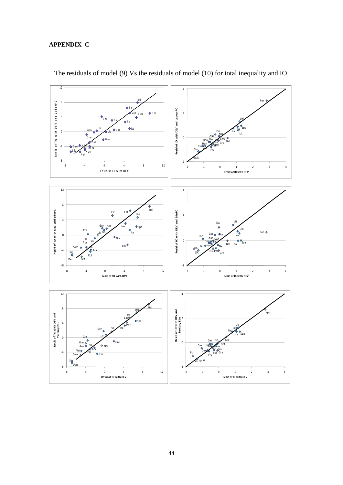# **APPENDIX C**



The residuals of model (9) Vs the residuals of model (10) for total inequality and IO.